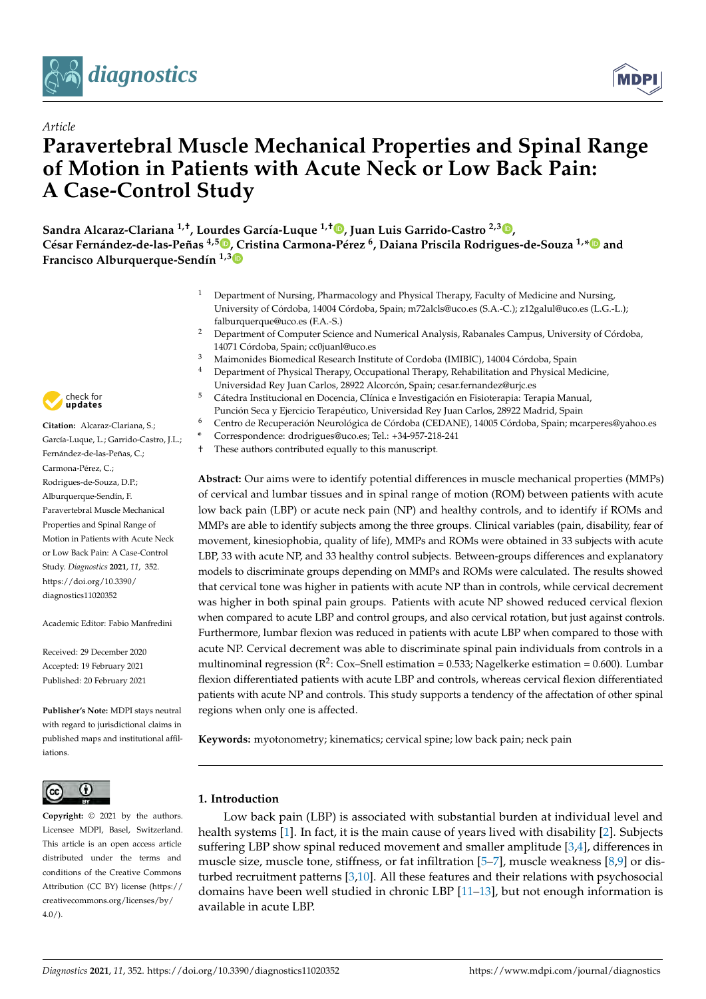



# **Paravertebral Muscle Mechanical Properties and Spinal Range of Motion in Patients with Acute Neck or Low Back Pain: A Case-Control Study**

**Sandra Alcaraz-Clariana 1,†, Lourdes García-Luque 1,† [,](https://orcid.org/0000-0002-1735-5946) Juan Luis Garrido-Castro 2,[3](https://orcid.org/0000-0002-0871-3780) , César Fernández-de-las-Peñas 4,5 [,](https://orcid.org/0000-0003-3772-9690) [C](https://orcid.org/0000-0002-3892-8440)ristina Carmona-Pérez <sup>6</sup> , Daiana Priscila Rodrigues-de-Souza 1,[\\*](https://orcid.org/0000-0002-3651-3276) and Francisco Alburquerque-Sendín 1,3**

- <sup>1</sup> Department of Nursing, Pharmacology and Physical Therapy, Faculty of Medicine and Nursing, University of Córdoba, 14004 Córdoba, Spain; m72alcls@uco.es (S.A.-C.); z12galul@uco.es (L.G.-L.); falburquerque@uco.es (F.A.-S.)
- <sup>2</sup> Department of Computer Science and Numerical Analysis, Rabanales Campus, University of Córdoba, 14071 Córdoba, Spain; cc0juanl@uco.es
- <sup>3</sup> Maimonides Biomedical Research Institute of Cordoba (IMIBIC), 14004 Córdoba, Spain<br><sup>4</sup> Department of Physical Therany Occupational Therany Rehabilitation and Physical M
- <sup>4</sup> Department of Physical Therapy, Occupational Therapy, Rehabilitation and Physical Medicine, Universidad Rey Juan Carlos, 28922 Alcorcón, Spain; cesar.fernandez@urjc.es
- <sup>5</sup> Cátedra Institucional en Docencia, Clínica e Investigación en Fisioterapia: Terapia Manual, Punción Seca y Ejercicio Terapéutico, Universidad Rey Juan Carlos, 28922 Madrid, Spain
- <sup>6</sup> Centro de Recuperación Neurológica de Córdoba (CEDANE), 14005 Córdoba, Spain; mcarperes@yahoo.es
- **\*** Correspondence: drodrigues@uco.es; Tel.: +34-957-218-241
- † These authors contributed equally to this manuscript.

**Abstract:** Our aims were to identify potential differences in muscle mechanical properties (MMPs) of cervical and lumbar tissues and in spinal range of motion (ROM) between patients with acute low back pain (LBP) or acute neck pain (NP) and healthy controls, and to identify if ROMs and MMPs are able to identify subjects among the three groups. Clinical variables (pain, disability, fear of movement, kinesiophobia, quality of life), MMPs and ROMs were obtained in 33 subjects with acute LBP, 33 with acute NP, and 33 healthy control subjects. Between-groups differences and explanatory models to discriminate groups depending on MMPs and ROMs were calculated. The results showed that cervical tone was higher in patients with acute NP than in controls, while cervical decrement was higher in both spinal pain groups. Patients with acute NP showed reduced cervical flexion when compared to acute LBP and control groups, and also cervical rotation, but just against controls. Furthermore, lumbar flexion was reduced in patients with acute LBP when compared to those with acute NP. Cervical decrement was able to discriminate spinal pain individuals from controls in a multinominal regression ( $R^2$ : Cox–Snell estimation = 0.533; Nagelkerke estimation = 0.600). Lumbar flexion differentiated patients with acute LBP and controls, whereas cervical flexion differentiated patients with acute NP and controls. This study supports a tendency of the affectation of other spinal regions when only one is affected.

**Keywords:** myotonometry; kinematics; cervical spine; low back pain; neck pain

## **1. Introduction**

Low back pain (LBP) is associated with substantial burden at individual level and health systems [\[1\]](#page-17-0). In fact, it is the main cause of years lived with disability [\[2\]](#page-17-1). Subjects suffering LBP show spinal reduced movement and smaller amplitude [\[3](#page-17-2)[,4\]](#page-17-3), differences in muscle size, muscle tone, stiffness, or fat infiltration [\[5–](#page-17-4)[7\]](#page-17-5), muscle weakness [\[8](#page-17-6)[,9\]](#page-17-7) or disturbed recruitment patterns [\[3,](#page-17-2)[10\]](#page-17-8). All these features and their relations with psychosocial domains have been well studied in chronic LBP [\[11](#page-17-9)[–13\]](#page-18-0), but not enough information is available in acute LBP.



*Article*

**Citation:** Alcaraz-Clariana, S.; García-Luque, L.; Garrido-Castro, J.L.; Fernández-de-las-Peñas, C.; Carmona-Pérez, C : Rodrigues-de-Souza, D.P.; Alburquerque-Sendín, F. Paravertebral Muscle Mechanical Properties and Spinal Range of Motion in Patients with Acute Neck or Low Back Pain: A Case-Control Study. *Diagnostics* **2021**, *11*, 352. [https://doi.org/10.3390/](https://doi.org/10.3390/diagnostics11020352) [diagnostics11020352](https://doi.org/10.3390/diagnostics11020352)

Academic Editor: Fabio Manfredini

Received: 29 December 2020 Accepted: 19 February 2021 Published: 20 February 2021

**Publisher's Note:** MDPI stays neutral with regard to jurisdictional claims in published maps and institutional affiliations.



**Copyright:** © 2021 by the authors. Licensee MDPI, Basel, Switzerland. This article is an open access article distributed under the terms and conditions of the Creative Commons Attribution (CC BY) license (https:/[/](https://creativecommons.org/licenses/by/4.0/) [creativecommons.org/licenses/by/](https://creativecommons.org/licenses/by/4.0/)  $4.0/$ ).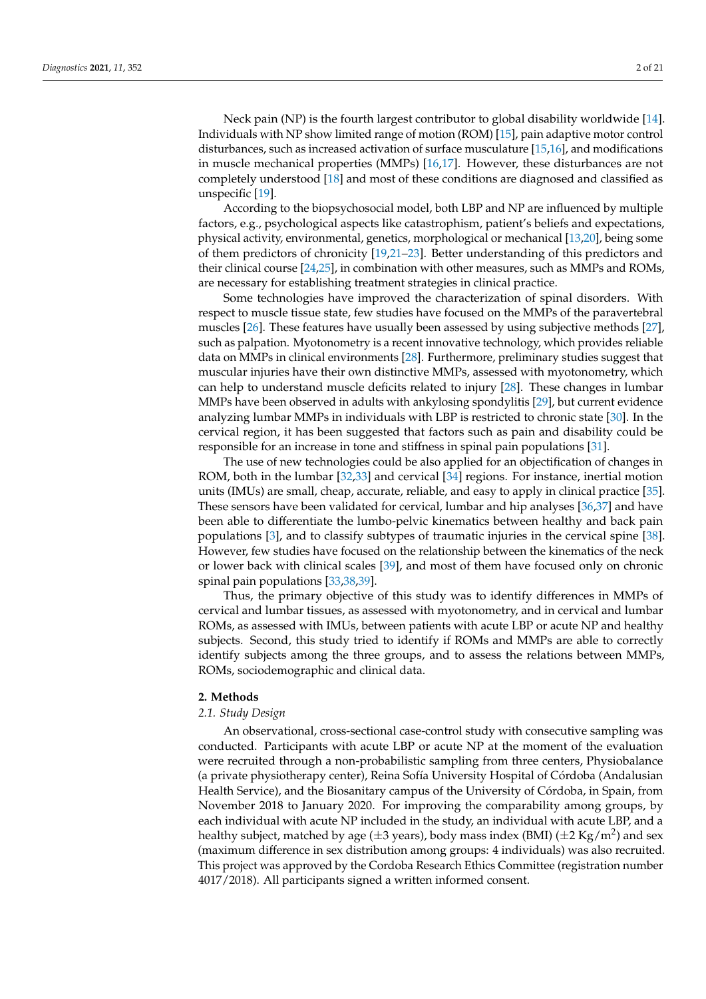Neck pain (NP) is the fourth largest contributor to global disability worldwide [\[14\]](#page-18-1). Individuals with NP show limited range of motion (ROM) [\[15\]](#page-18-2), pain adaptive motor control disturbances, such as increased activation of surface musculature [\[15,](#page-18-2)[16\]](#page-18-3), and modifications in muscle mechanical properties (MMPs) [\[16,](#page-18-3)[17\]](#page-18-4). However, these disturbances are not completely understood [\[18\]](#page-18-5) and most of these conditions are diagnosed and classified as unspecific [\[19\]](#page-18-6).

According to the biopsychosocial model, both LBP and NP are influenced by multiple factors, e.g., psychological aspects like catastrophism, patient's beliefs and expectations, physical activity, environmental, genetics, morphological or mechanical [\[13](#page-18-0)[,20\]](#page-18-7), being some of them predictors of chronicity [\[19](#page-18-6)[,21–](#page-18-8)[23\]](#page-18-9). Better understanding of this predictors and their clinical course [\[24,](#page-18-10)[25\]](#page-18-11), in combination with other measures, such as MMPs and ROMs, are necessary for establishing treatment strategies in clinical practice.

Some technologies have improved the characterization of spinal disorders. With respect to muscle tissue state, few studies have focused on the MMPs of the paravertebral muscles [\[26\]](#page-18-12). These features have usually been assessed by using subjective methods [\[27\]](#page-18-13), such as palpation. Myotonometry is a recent innovative technology, which provides reliable data on MMPs in clinical environments [\[28\]](#page-18-14). Furthermore, preliminary studies suggest that muscular injuries have their own distinctive MMPs, assessed with myotonometry, which can help to understand muscle deficits related to injury [\[28\]](#page-18-14). These changes in lumbar MMPs have been observed in adults with ankylosing spondylitis [\[29\]](#page-18-15), but current evidence analyzing lumbar MMPs in individuals with LBP is restricted to chronic state [\[30\]](#page-18-16). In the cervical region, it has been suggested that factors such as pain and disability could be responsible for an increase in tone and stiffness in spinal pain populations [\[31\]](#page-18-17).

The use of new technologies could be also applied for an objectification of changes in ROM, both in the lumbar [\[32](#page-18-18)[,33\]](#page-18-19) and cervical [\[34\]](#page-18-20) regions. For instance, inertial motion units (IMUs) are small, cheap, accurate, reliable, and easy to apply in clinical practice [\[35\]](#page-18-21). These sensors have been validated for cervical, lumbar and hip analyses [\[36](#page-18-22)[,37\]](#page-19-0) and have been able to differentiate the lumbo-pelvic kinematics between healthy and back pain populations [\[3\]](#page-17-2), and to classify subtypes of traumatic injuries in the cervical spine [\[38\]](#page-19-1). However, few studies have focused on the relationship between the kinematics of the neck or lower back with clinical scales [\[39\]](#page-19-2), and most of them have focused only on chronic spinal pain populations [\[33](#page-18-19)[,38](#page-19-1)[,39\]](#page-19-2).

Thus, the primary objective of this study was to identify differences in MMPs of cervical and lumbar tissues, as assessed with myotonometry, and in cervical and lumbar ROMs, as assessed with IMUs, between patients with acute LBP or acute NP and healthy subjects. Second, this study tried to identify if ROMs and MMPs are able to correctly identify subjects among the three groups, and to assess the relations between MMPs, ROMs, sociodemographic and clinical data.

## **2. Methods**

#### *2.1. Study Design*

An observational, cross-sectional case-control study with consecutive sampling was conducted. Participants with acute LBP or acute NP at the moment of the evaluation were recruited through a non-probabilistic sampling from three centers, Physiobalance (a private physiotherapy center), Reina Sofía University Hospital of Córdoba (Andalusian Health Service), and the Biosanitary campus of the University of Córdoba, in Spain, from November 2018 to January 2020. For improving the comparability among groups, by each individual with acute NP included in the study, an individual with acute LBP, and a healthy subject, matched by age ( $\pm 3$  years), body mass index (BMI) ( $\pm 2$  Kg/m<sup>2</sup>) and sex (maximum difference in sex distribution among groups: 4 individuals) was also recruited. This project was approved by the Cordoba Research Ethics Committee (registration number 4017/2018). All participants signed a written informed consent.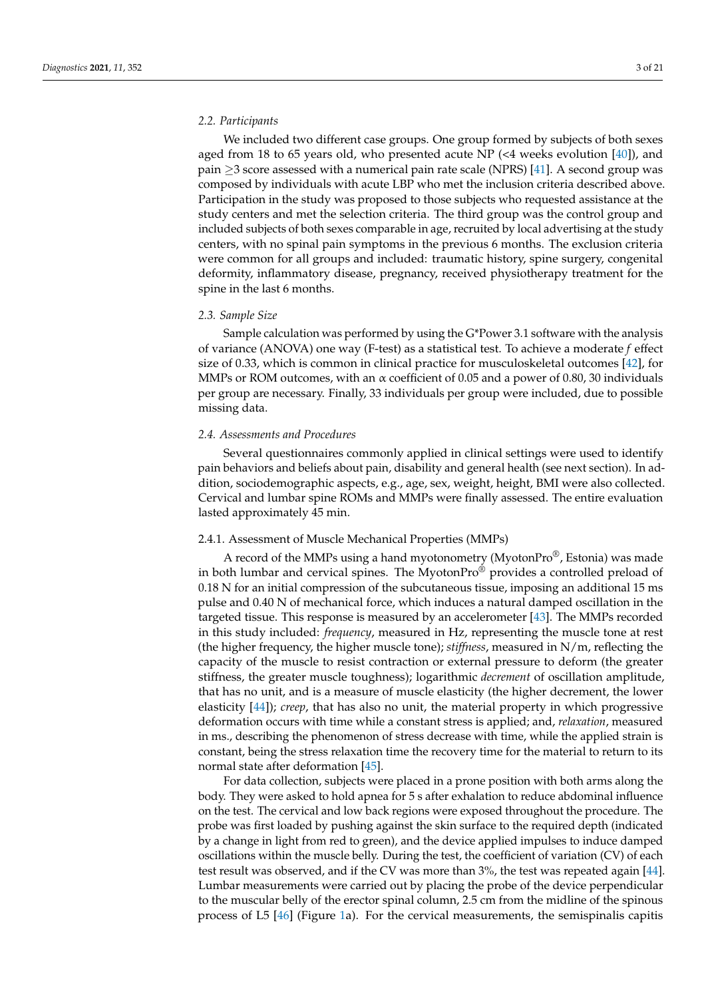## *2.2. Participants*

We included two different case groups. One group formed by subjects of both sexes aged from 18 to 65 years old, who presented acute NP (<4 weeks evolution  $[40]$ ), and pain  $\geq$ 3 score assessed with a numerical pain rate scale (NPRS) [\[41\]](#page-19-4). A second group was composed by individuals with acute LBP who met the inclusion criteria described above. Participation in the study was proposed to those subjects who requested assistance at the study centers and met the selection criteria. The third group was the control group and included subjects of both sexes comparable in age, recruited by local advertising at the study centers, with no spinal pain symptoms in the previous 6 months. The exclusion criteria were common for all groups and included: traumatic history, spine surgery, congenital deformity, inflammatory disease, pregnancy, received physiotherapy treatment for the spine in the last 6 months.

#### *2.3. Sample Size*

Sample calculation was performed by using the G\*Power 3.1 software with the analysis of variance (ANOVA) one way (F-test) as a statistical test. To achieve a moderate *f* effect size of 0.33, which is common in clinical practice for musculoskeletal outcomes [\[42\]](#page-19-5), for MMPs or ROM outcomes, with an  $\alpha$  coefficient of 0.05 and a power of 0.80, 30 individuals per group are necessary. Finally, 33 individuals per group were included, due to possible missing data.

#### *2.4. Assessments and Procedures*

Several questionnaires commonly applied in clinical settings were used to identify pain behaviors and beliefs about pain, disability and general health (see next section). In addition, sociodemographic aspects, e.g., age, sex, weight, height, BMI were also collected. Cervical and lumbar spine ROMs and MMPs were finally assessed. The entire evaluation lasted approximately 45 min.

### 2.4.1. Assessment of Muscle Mechanical Properties (MMPs)

A record of the MMPs using a hand myotonometry (MyotonPro $\mathcal{O}_n$ ), Estonia) was made in both lumbar and cervical spines. The MyotonPro® provides a controlled preload of 0.18 N for an initial compression of the subcutaneous tissue, imposing an additional 15 ms pulse and 0.40 N of mechanical force, which induces a natural damped oscillation in the targeted tissue. This response is measured by an accelerometer [\[43\]](#page-19-6). The MMPs recorded in this study included: *frequency*, measured in Hz, representing the muscle tone at rest (the higher frequency, the higher muscle tone); *stiffness*, measured in N/m, reflecting the capacity of the muscle to resist contraction or external pressure to deform (the greater stiffness, the greater muscle toughness); logarithmic *decrement* of oscillation amplitude, that has no unit, and is a measure of muscle elasticity (the higher decrement, the lower elasticity [\[44\]](#page-19-7)); *creep*, that has also no unit, the material property in which progressive deformation occurs with time while a constant stress is applied; and, *relaxation*, measured in ms., describing the phenomenon of stress decrease with time, while the applied strain is constant, being the stress relaxation time the recovery time for the material to return to its normal state after deformation [\[45\]](#page-19-8).

For data collection, subjects were placed in a prone position with both arms along the body. They were asked to hold apnea for 5 s after exhalation to reduce abdominal influence on the test. The cervical and low back regions were exposed throughout the procedure. The probe was first loaded by pushing against the skin surface to the required depth (indicated by a change in light from red to green), and the device applied impulses to induce damped oscillations within the muscle belly. During the test, the coefficient of variation (CV) of each test result was observed, and if the CV was more than 3%, the test was repeated again [\[44\]](#page-19-7). Lumbar measurements were carried out by placing the probe of the device perpendicular to the muscular belly of the erector spinal column, 2.5 cm from the midline of the spinous process of L5 [\[46\]](#page-19-9) (Figure [1a](#page-3-0)). For the cervical measurements, the semispinalis capitis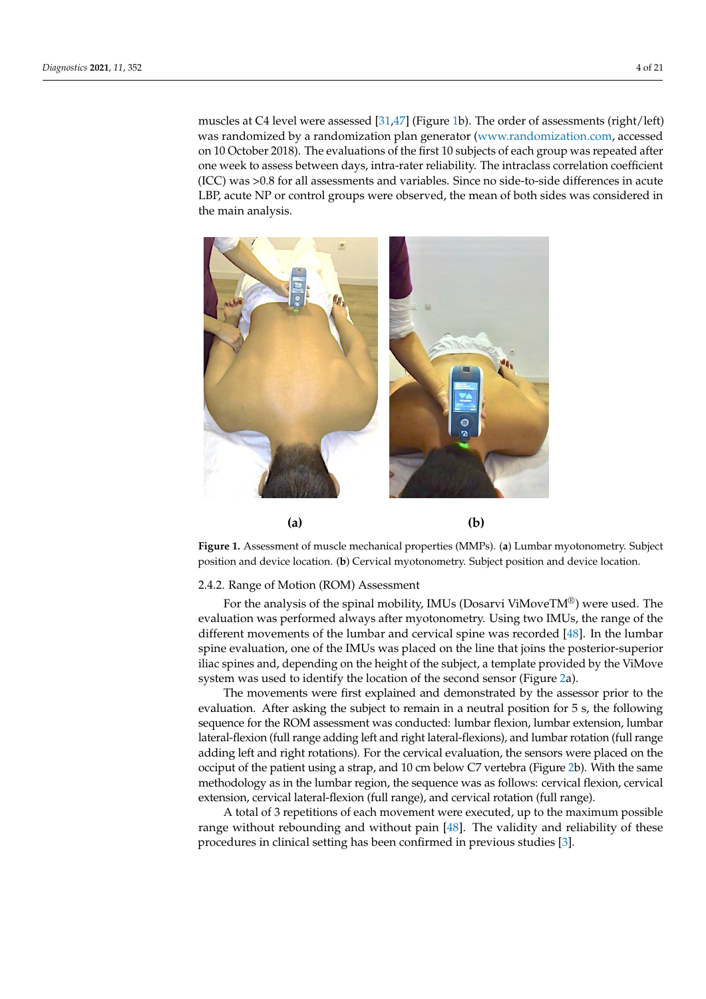muscles at C4 level were assessed [\[31,](#page-18-17)[47\]](#page-19-10) (Figure [1b](#page-3-0)). The order of assessments (right/left) was randomized by a randomization plan generator [\(www.randomization.com,](www.randomization.com) accessed<br>
as a randomized by a randomization plan generator (www.randomization.com, accessed on 10 October 2018). The evaluations of the first 10 subjects of each group was repeated after on to ecoset 2010). The evaluations of the first 10 subjects of each group was repeated after<br>one week to assess between days, intra-rater reliability. The intraclass correlation coefficient  $(ICC)$  was  $>0.8$  for all assessments and variables. Since no side-to-side differences in acute  $LBP$ , acute NP or control groups were observed, the mean of both sides was considered in the main analysis. The control groups were observed, the main analysis were observed, the mean of both sides was considered, the mean of both sides was considered, the mean of both sides was considered, the mean of both si

<span id="page-3-0"></span>

**Figure 1.** Assessment of muscle mechanical properties (MMPs). (**a**) Lumbar myotonometry. Subject position and device location. (**b**) Cervical myotonometry. Subject position and device location.

## 2.4.2. Range of Motion (ROM) Assessment

ETTE: Range of Motion (ROM) Assessment to the spinal mobility, IMUs (Dosarvi ViMoveTM®) were used. The evaluation was performed always after myotonometry. Using two IMUs, the range of the different movements of the lumbar and cervical spine was recorded [\[48\]](#page-19-11). In the lumbar spine evaluation, one of the IMUs was placed on the line that joins the posterior-superior iliac spines and, depending on the height of the subject, a template provided by the ViMove sys[te](#page-4-0)m was used to identify the location of the second sensor (Figure 2a).

The movements were first explained and demonstrated by the assessor prior to the evaluation. After asking the subject to femally in a heutrar position for 5 s, the following<br>sequence for the ROM assessment was conducted: lumbar flexion, lumbar extension, lumbar bequarted for the redirive secondary was contracted ranked *neutral*, ranked *extended, ranked*<br>lateral-flexion (full range adding left and right lateral-flexions), and lumbar rotation (full range adding left and right rotations). For the cervical evaluation, the sensors were placed on the occiput of the patient using a strap, and 10 cm below C7 vertebra (Figure [2b](#page-4-0)). With the same methodology as in the lumbar region, the sequence was as follows: cervical flexion, cervical extension, cervical lateral-flexion (full range), and cervical rotation (full range). evaluation. After asking the subject to remain in a neutral position for 5 s, the following

A total of 3 repetitions of each movement were executed, up to the maximum possible range without rebounding and without pain  $[48]$ . The validity and reliability of these procedures in clinical setting has been confirmed in previous studies [\[3\]](#page-17-2).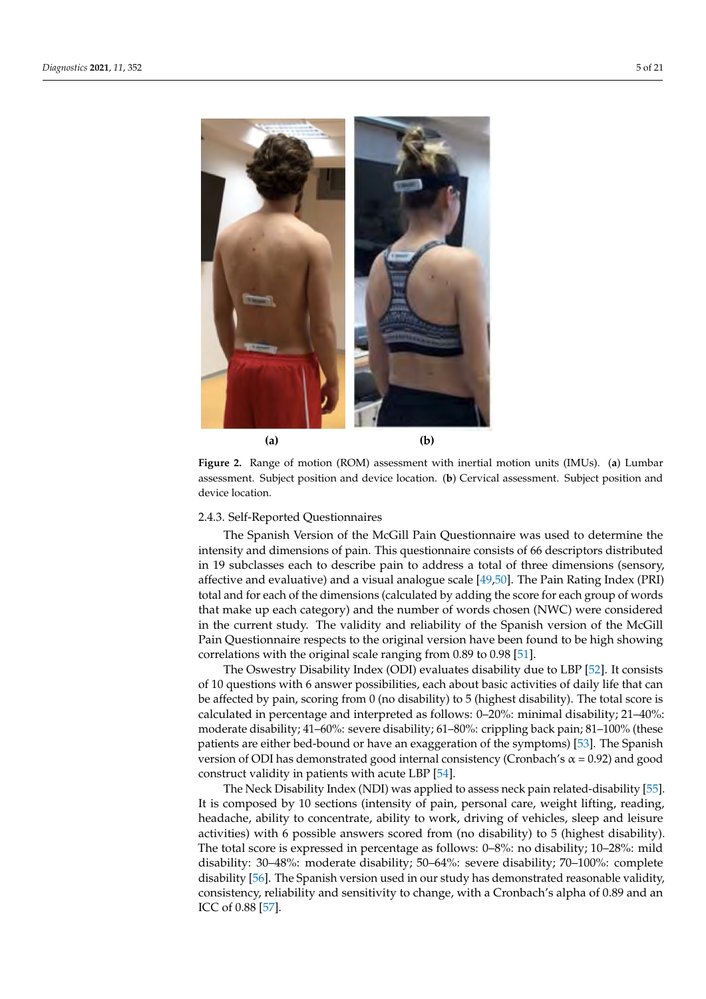<span id="page-4-0"></span>

assessment. Subject position and device location. (**b**) Cervical assessment. Subject position and sessment. Subject position and device location. (**b**) Cervical assessment as sessment. Subject position and de-**Figure 2.** Range of motion (ROM) assessment with inertial motion units (IMUs). (**a**) Lumbar device location.

## 2.4.3. Self-Reported Questionnaires

ITHE SPAILSH VELSION OF THE MCCHIL FAIN QUESTIONNAITE WAS USED TO DETERMINE THE INTENSITY and dimensions of pain. This questionnaire consists of 66 descriptors distributed in 19 subclasses each to describe pain to address a total of three dimensions (sensory, affective and evaluative) and a visual analogue scale [49,50]. The Pain Rating Index (PRI) total and for each of the dimensions (calculated by adding the score for each group of words that make up each category) and the number of words chosen (NWC) were considered in the current study. The validity and reliability of the Spanish version of the McGill Pain Questionnaire respects to the original version have been found to be high showing<br>respective respects to the original version form 0.80 to 0.08 [51] The Spanish Version of the McGill Pain Questionnaire was used to determine the correlations with the original scale ranging from 0.89 to 0.98 [\[51\]](#page-19-14).

Exerciations with the original scale ranging nom 0.55 to 0.56 [51].<br>The Oswestry Disability Index (ODI) evaluates disability due to LBP [\[52\]](#page-19-15). It consists of 10 questions with 6 answer possibilities, each about basic activities of daily life that can be affected by pain, scoring from 0 (no disability) to 5 (highest disability). The total score is calculated in percentage and interpreted as follows: 0–20%: minimal disability; 21–40%: moderate disability; 41–60%: severe disability; 61–80%: crippling back pain; 81–100% (these patients are either bed-bound or have an exaggeration of the symptoms) [\[53\]](#page-19-16). The Spanish version of ODI has demonstrated good internal consistency (Cronbach's  $\alpha$  = 0.92) and good construct validity in patients with acute LBP [\[54\]](#page-19-17).

construct vandity in patients with active EDF [94].<br>The Neck Disability Index (NDI) was applied to assess neck pain related-disability [\[55\]](#page-19-18). It is composed by 10 sections (intensity of pain, personal care, weight lifting, reading, headache, ability to concentrate, ability to work, driving of vehicles, sleep and leisure activities) with 6 possible answers scored from (no disability) to 5 (highest disability). The total score is expressed in percentage as follows: 0–8%: no disability; 10–28%: mild disability: 30–48%: moderate disability; 50–64%: severe disability; 70–100%: complete disability [\[56\]](#page-19-19). The Spanish version used in our study has demonstrated reasonable validity, consistency, reliability and sensitivity to change, with a Cronbach's alpha of 0.89 and an  $TCC$  01 0.00 [37]. ICC of 0.88 [\[57\]](#page-19-20).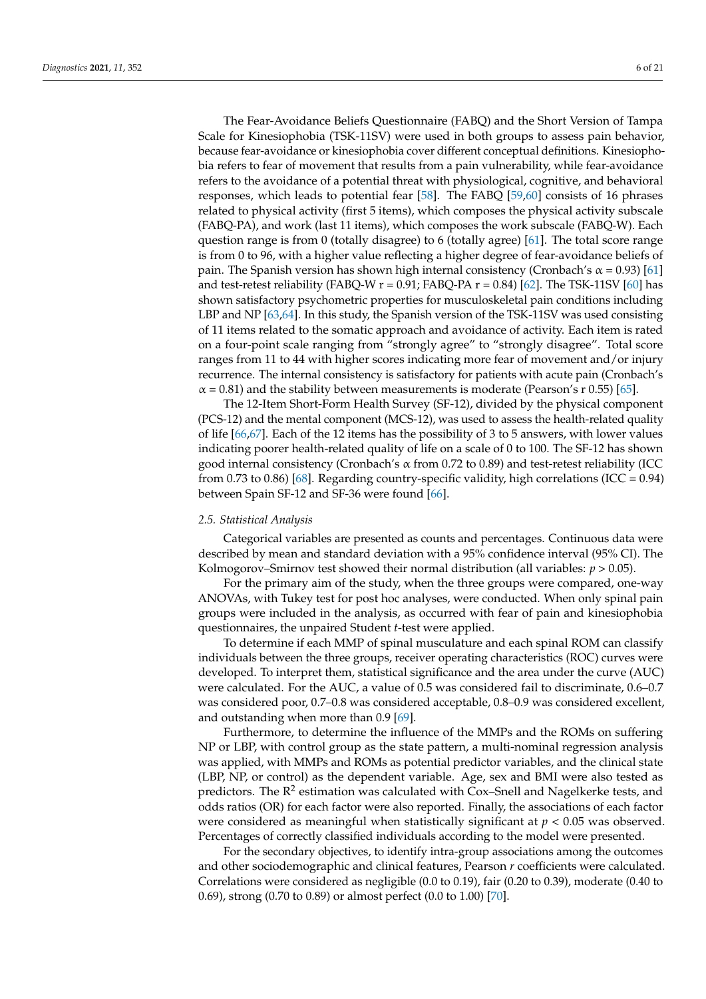The Fear-Avoidance Beliefs Questionnaire (FABQ) and the Short Version of Tampa Scale for Kinesiophobia (TSK-11SV) were used in both groups to assess pain behavior, because fear-avoidance or kinesiophobia cover different conceptual definitions. Kinesiophobia refers to fear of movement that results from a pain vulnerability, while fear-avoidance refers to the avoidance of a potential threat with physiological, cognitive, and behavioral responses, which leads to potential fear [\[58\]](#page-19-21). The FABQ [\[59,](#page-19-22)[60\]](#page-19-23) consists of 16 phrases related to physical activity (first 5 items), which composes the physical activity subscale (FABQ-PA), and work (last 11 items), which composes the work subscale (FABQ-W). Each question range is from 0 (totally disagree) to 6 (totally agree) [\[61\]](#page-19-24). The total score range is from 0 to 96, with a higher value reflecting a higher degree of fear-avoidance beliefs of pain. The Spanish version has shown high internal consistency (Cronbach's  $\alpha$  = 0.93) [\[61\]](#page-19-24) and test-retest reliability (FABQ-W  $r = 0.91$ ; FABQ-PA  $r = 0.84$ ) [\[62\]](#page-20-0). The TSK-11SV [\[60\]](#page-19-23) has shown satisfactory psychometric properties for musculoskeletal pain conditions including LBP and NP [\[63,](#page-20-1)[64\]](#page-20-2). In this study, the Spanish version of the TSK-11SV was used consisting of 11 items related to the somatic approach and avoidance of activity. Each item is rated on a four-point scale ranging from "strongly agree" to "strongly disagree". Total score ranges from 11 to 44 with higher scores indicating more fear of movement and/or injury recurrence. The internal consistency is satisfactory for patients with acute pain (Cronbach's  $\alpha$  = 0.81) and the stability between measurements is moderate (Pearson's r 0.55) [\[65\]](#page-20-3).

The 12-Item Short-Form Health Survey (SF-12), divided by the physical component (PCS-12) and the mental component (MCS-12), was used to assess the health-related quality of life [\[66,](#page-20-4)[67\]](#page-20-5). Each of the 12 items has the possibility of 3 to 5 answers, with lower values indicating poorer health-related quality of life on a scale of 0 to 100. The SF-12 has shown good internal consistency (Cronbach's α from 0.72 to 0.89) and test-retest reliability (ICC from 0.73 to 0.86) [\[68\]](#page-20-6). Regarding country-specific validity, high correlations (ICC = 0.94) between Spain SF-12 and SF-36 were found [\[66\]](#page-20-4).

#### *2.5. Statistical Analysis*

Categorical variables are presented as counts and percentages. Continuous data were described by mean and standard deviation with a 95% confidence interval (95% CI). The Kolmogorov–Smirnov test showed their normal distribution (all variables:  $p > 0.05$ ).

For the primary aim of the study, when the three groups were compared, one-way ANOVAs, with Tukey test for post hoc analyses, were conducted. When only spinal pain groups were included in the analysis, as occurred with fear of pain and kinesiophobia questionnaires, the unpaired Student *t*-test were applied.

To determine if each MMP of spinal musculature and each spinal ROM can classify individuals between the three groups, receiver operating characteristics (ROC) curves were developed. To interpret them, statistical significance and the area under the curve (AUC) were calculated. For the AUC, a value of 0.5 was considered fail to discriminate, 0.6–0.7 was considered poor, 0.7–0.8 was considered acceptable, 0.8–0.9 was considered excellent, and outstanding when more than 0.9 [\[69\]](#page-20-7).

Furthermore, to determine the influence of the MMPs and the ROMs on suffering NP or LBP, with control group as the state pattern, a multi-nominal regression analysis was applied, with MMPs and ROMs as potential predictor variables, and the clinical state (LBP, NP, or control) as the dependent variable. Age, sex and BMI were also tested as predictors. The  $R^2$  estimation was calculated with Cox–Snell and Nagelkerke tests, and odds ratios (OR) for each factor were also reported. Finally, the associations of each factor were considered as meaningful when statistically significant at  $p < 0.05$  was observed. Percentages of correctly classified individuals according to the model were presented.

For the secondary objectives, to identify intra-group associations among the outcomes and other sociodemographic and clinical features, Pearson *r* coefficients were calculated. Correlations were considered as negligible (0.0 to 0.19), fair (0.20 to 0.39), moderate (0.40 to 0.69), strong (0.70 to 0.89) or almost perfect (0.0 to 1.00) [\[70\]](#page-20-8).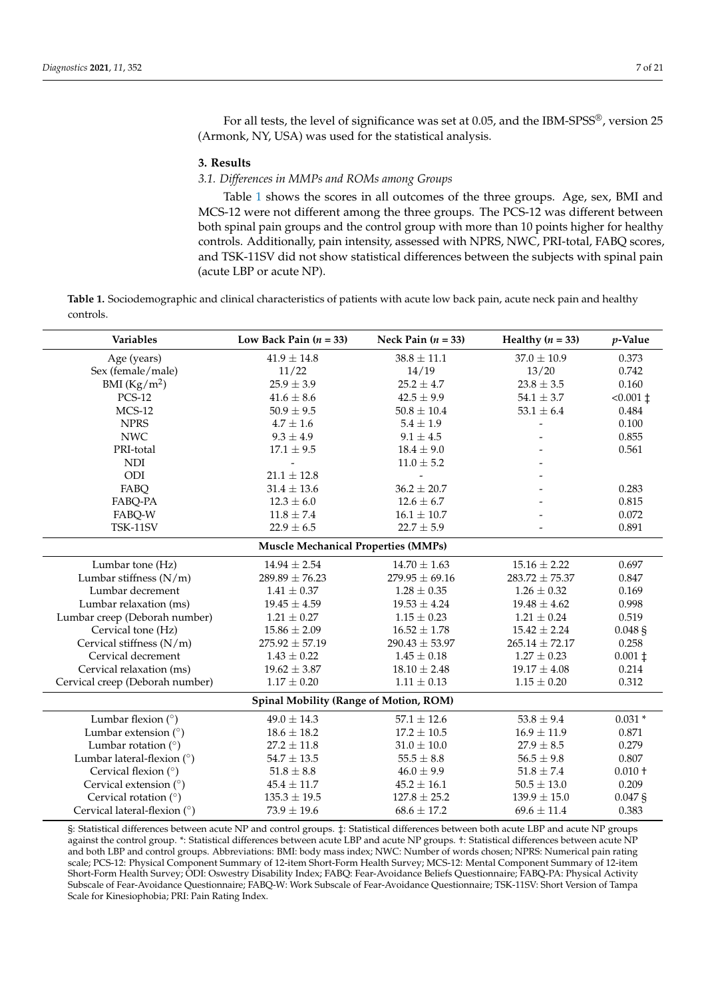For all tests, the level of significance was set at 0.05, and the IBM-SPSS®, version 25 (Armonk, NY, USA) was used for the statistical analysis.

#### **3. Results**

## *3.1. Differences in MMPs and ROMs among Groups*

Table [1](#page-6-0) shows the scores in all outcomes of the three groups. Age, sex, BMI and MCS-12 were not different among the three groups. The PCS-12 was different between both spinal pain groups and the control group with more than 10 points higher for healthy controls. Additionally, pain intensity, assessed with NPRS, NWC, PRI-total, FABQ scores, and TSK-11SV did not show statistical differences between the subjects with spinal pain (acute LBP or acute NP).

<span id="page-6-0"></span>**Table 1.** Sociodemographic and clinical characteristics of patients with acute low back pain, acute neck pain and healthy controls.

| <b>Variables</b>                           | Low Back Pain $(n = 33)$               | Neck Pain $(n = 33)$ | Healthy $(n = 33)$ | p-Value            |  |  |  |  |  |
|--------------------------------------------|----------------------------------------|----------------------|--------------------|--------------------|--|--|--|--|--|
| Age (years)                                | $41.9 \pm 14.8$                        | $38.8 \pm 11.1$      | $37.0 \pm 10.9$    | 0.373              |  |  |  |  |  |
| Sex (female/male)                          | 11/22                                  | 14/19                | 13/20              | 0.742              |  |  |  |  |  |
| BMI $(Kg/m2)$                              | $25.9 \pm 3.9$                         | $25.2 \pm 4.7$       | $23.8 \pm 3.5$     | 0.160              |  |  |  |  |  |
| <b>PCS-12</b>                              | $41.6 \pm 8.6$                         | $42.5 \pm 9.9$       | $54.1 \pm 3.7$     | $< 0.001 \pm$      |  |  |  |  |  |
| $MCS-12$                                   | $50.9\pm9.5$                           | $50.8\pm10.4$        | $53.1\pm6.4$       | 0.484              |  |  |  |  |  |
| <b>NPRS</b>                                | $4.7\pm1.6$                            | $5.4\pm1.9$          |                    | 0.100              |  |  |  |  |  |
| <b>NWC</b>                                 | $9.3 \pm 4.9$                          | $9.1 \pm 4.5$        |                    | 0.855              |  |  |  |  |  |
| PRI-total                                  | $17.1 \pm 9.5$                         | $18.4 \pm 9.0$       |                    | 0.561              |  |  |  |  |  |
| <b>NDI</b>                                 |                                        | $11.0 \pm 5.2$       |                    |                    |  |  |  |  |  |
| ODI                                        | $21.1 \pm 12.8$                        |                      |                    |                    |  |  |  |  |  |
| FABQ                                       | $31.4 \pm 13.6$                        | $36.2 \pm 20.7$      |                    | 0.283              |  |  |  |  |  |
| FABQ-PA                                    | $12.3 \pm 6.0$                         | $12.6 \pm 6.7$       |                    | 0.815              |  |  |  |  |  |
| FABQ-W                                     | $11.8 \pm 7.4$                         | $16.1 \pm 10.7$      |                    | 0.072              |  |  |  |  |  |
| TSK-11SV                                   | $22.9 \pm 6.5$                         | $22.7 \pm 5.9$       |                    | 0.891              |  |  |  |  |  |
| <b>Muscle Mechanical Properties (MMPs)</b> |                                        |                      |                    |                    |  |  |  |  |  |
| Lumbar tone (Hz)                           | $14.94 \pm 2.54$                       | $14.70 \pm 1.63$     | $15.16 \pm 2.22$   | 0.697              |  |  |  |  |  |
| Lumbar stiffness (N/m)                     | $289.89 \pm 76.23$                     | $279.95 \pm 69.16$   | $283.72 \pm 75.37$ | 0.847              |  |  |  |  |  |
| Lumbar decrement                           | $1.41 \pm 0.37$                        | $1.28 \pm 0.35$      | $1.26 \pm 0.32$    | 0.169              |  |  |  |  |  |
| Lumbar relaxation (ms)                     | $19.45 \pm 4.59$                       | $19.53 \pm 4.24$     | $19.48 \pm 4.62$   | 0.998              |  |  |  |  |  |
| Lumbar creep (Deborah number)              | $1.21 \pm 0.27$                        | $1.15 \pm 0.23$      | $1.21 \pm 0.24$    | 0.519              |  |  |  |  |  |
| Cervical tone (Hz)                         | $15.86 \pm 2.09$                       | $16.52 \pm 1.78$     | $15.42 \pm 2.24$   | 0.048 <sub>5</sub> |  |  |  |  |  |
| Cervical stiffness $(N/m)$                 | $275.92 \pm 57.19$                     | $290.43 \pm 53.97$   | $265.14 \pm 72.17$ | 0.258              |  |  |  |  |  |
| Cervical decrement                         | $1.43 \pm 0.22$                        | $1.45 \pm 0.18$      | $1.27 \pm 0.23$    | $0.001 \;$ ‡       |  |  |  |  |  |
| Cervical relaxation (ms)                   | $19.62 \pm 3.87$                       | $18.10 \pm 2.48$     | $19.17 \pm 4.08$   | 0.214              |  |  |  |  |  |
| Cervical creep (Deborah number)            | $1.17 \pm 0.20$                        | $1.11 \pm 0.13$      | $1.15 \pm 0.20$    | 0.312              |  |  |  |  |  |
|                                            | Spinal Mobility (Range of Motion, ROM) |                      |                    |                    |  |  |  |  |  |
| Lumbar flexion $(°)$                       | $49.0 \pm 14.3$                        | $57.1 \pm 12.6$      | $53.8 \pm 9.4$     | $0.031*$           |  |  |  |  |  |
| Lumbar extension $(°)$                     | $18.6 \pm 18.2$                        | $17.2 \pm 10.5$      | $16.9 \pm 11.9$    | 0.871              |  |  |  |  |  |
| Lumbar rotation $(°)$                      | $27.2 \pm 11.8$                        | $31.0\pm10.0$        | $27.9 \pm 8.5$     | 0.279              |  |  |  |  |  |
| Lumbar lateral-flexion $(°)$               | $54.7 \pm 13.5$                        | $55.5 \pm 8.8$       | $56.5 \pm 9.8$     | 0.807              |  |  |  |  |  |
| Cervical flexion (°)                       | $51.8 \pm 8.8$                         | $46.0 \pm 9.9$       | $51.8 \pm 7.4$     | $0.010 +$          |  |  |  |  |  |
| Cervical extension $(°)$                   | $45.4 \pm 11.7$                        | $45.2 \pm 16.1$      | $50.5 \pm 13.0$    | 0.209              |  |  |  |  |  |
| Cervical rotation $(°)$                    | $135.3 \pm 19.5$                       | $127.8 \pm 25.2$     | $139.9 \pm 15.0$   | $0.047$ \$         |  |  |  |  |  |
| Cervical lateral-flexion $(°)$             | $73.9 \pm 19.6$                        | $68.6 \pm 17.2$      | $69.6 \pm 11.4$    | 0.383              |  |  |  |  |  |

§: Statistical differences between acute NP and control groups. ‡: Statistical differences between both acute LBP and acute NP groups against the control group. \*: Statistical differences between acute LBP and acute NP groups. †: Statistical differences between acute NP and both LBP and control groups. Abbreviations: BMI: body mass index; NWC: Number of words chosen; NPRS: Numerical pain rating scale; PCS-12: Physical Component Summary of 12-item Short-Form Health Survey; MCS-12: Mental Component Summary of 12-item Short-Form Health Survey; ODI: Oswestry Disability Index; FABQ: Fear-Avoidance Beliefs Questionnaire; FABQ-PA: Physical Activity Subscale of Fear-Avoidance Questionnaire; FABQ-W: Work Subscale of Fear-Avoidance Questionnaire; TSK-11SV: Short Version of Tampa Scale for Kinesiophobia; PRI: Pain Rating Index.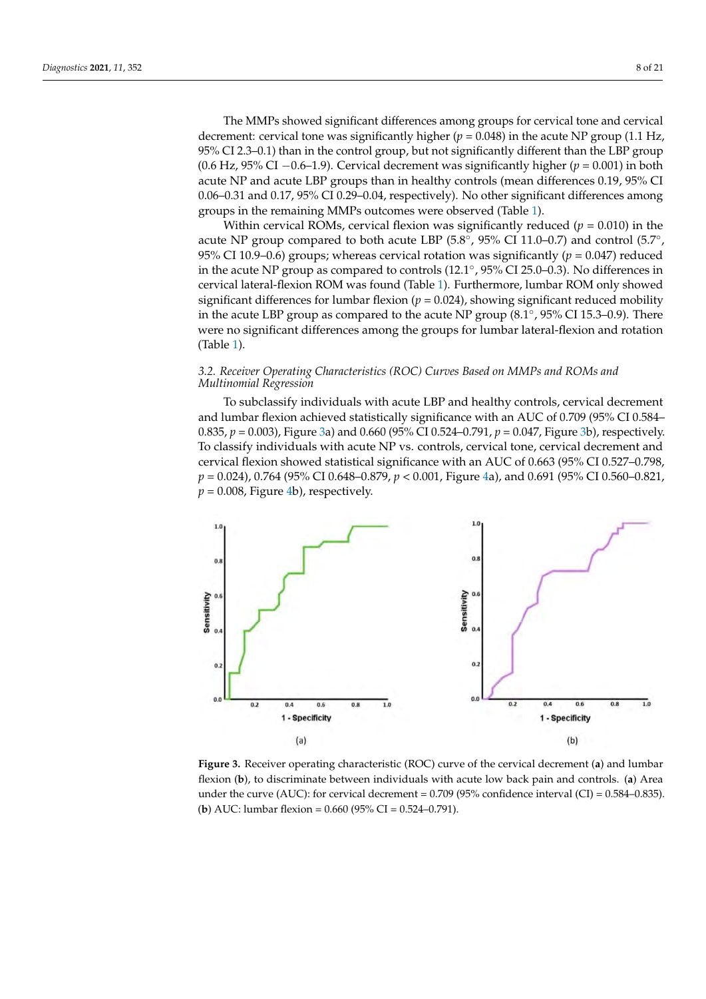The MMPs showed significant differences among groups for cervical tone and cervical decrement: cervical tone was significantly higher ( $p = 0.048$ ) in the acute NP group (1.1 Hz, 95% CI 2.3–0.1) than in the control group, but not significantly different than the LBP group (0.6 Hz, 95% CI  $-0.6$ -1.9). Cervical decrement was significantly higher ( $p = 0.001$ ) in both acute NP and acute LBP groups than in healthy controls (mean differences 0.19*,* 95% CI 0.06–0.31 and 0.17, 95% CI 0.29–0.04, respectively). No other significant differences among groups in the remaining MMPs outcomes were observed (Table [1\)](#page-6-0).

cal decrement: cervical tone was significantly higher (*p* = 0.048) in the acute NP group (1.1

within cervical ROMs, cervical flexion was significantly reduced  $(p = 0.010)$  in the acute NP group compared to both acute LBP  $(5.8°, 95%$  CI 11.0–0.7) and control  $(5.7°, 9.9%)$ 95% CI 10.9–0.6) groups; whereas cervical rotation was significantly  $(p = 0.047)$  reduced in the acute NP group as compared to controls (12.1°, 95% CI 25.0–0.3). No differences in cervical lateral-flexion ROM was found (Table 1). Furthermore, lumbar ROM only showed significant differences for lumbar flexion  $(p = 0.024)$ , showing significant reduced mobility in the acute LBP group as compared to the acute NP group  $(8.1^\circ, 95\%$  CI 15.3–0.9). There were no significant differences among the groups for lumbar lateral-flexion and rotation (Table [1\)](#page-6-0). *3.2. Receiver Operating Characteristics (ROC) Curves Based on MMPs and ROMs and Multi-*

## 3.2. Receiver Operating Characteristics (ROC) Curves Based on MMPs and ROMs and *Multinomial Regression*

To subclassify individuals with acute LBP and healthy controls, cervical decrement and lumbar flexion achieved statistically significance with an AUC of 0.709 (95% CI 0.584– 0.835,  $p = 0.003$ ), Figure [3a](#page-7-0)) and 0.660 (95% CI 0.524–0.791,  $p = 0.047$ , Figure [3b](#page-7-0)), respectively. To classify individuals with acute NP vs. controls, cervical tone, cervical decrement and fo classify individually with dealer NTVs. Controlls, Cervical tone, Cervical decrement and cervical flexion showed statistical significance with an AUC of 0.663 (95% CI 0.527–0.798, *p* = 0.024), 0.764 (95% CI 0.648–0.879, *p* < 0.001, Figure [4a](#page-8-0)), and 0.691 (95% CI 0.560–0.821,  $p = 0.008$ , Figure [4b](#page-8-0)), respectively.

<span id="page-7-0"></span>

**Figure 3.** Receiver operating characteristic (ROC) curve of the cervical decrement (**a**) and lumbar **Figure 3.** Receiver operating characteristic (ROC) curve of the cervical decrement (**a**) and lumbar flexion (**b**), to discriminate between individuals with acute low back pain and controls. (**a**) Area flexion (**b**), to discriminate between individuals with acute low back pain and controls. (**a**) Area under the curve (AUC): for cervical decrement  $= 0.709$  (95% confidence interval (CI)  $= 0.584$ –0.835). (**b**) AUC: lumbar flexion = 0.660 (95%CI = 0.524–0.791). (**b**) AUC: lumbar flexion = 0.660 (95% CI = 0.524–0.791).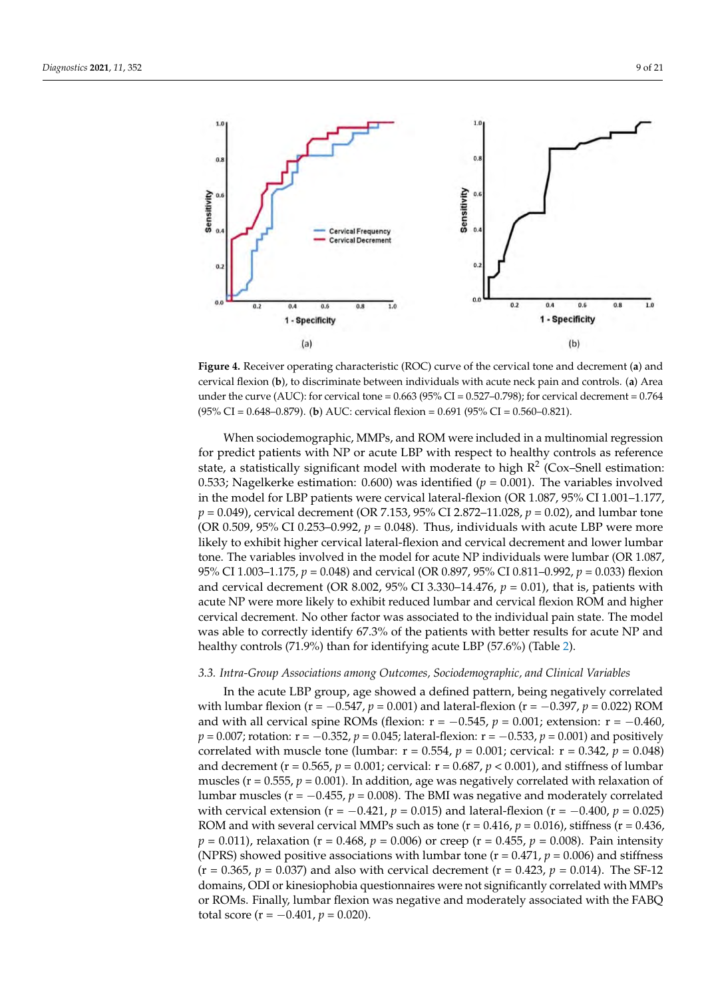<span id="page-8-0"></span>

**Figure 4.** Receiver operating characteristic (ROC) curve of the cervical tone and decrement (a) and cervical flexion (b), to discriminate between individuals with acute neck pain and controls. (a) Area under the curve (AUC): for cervical tone =  $0.663$  (95% CI =  $0.527$ –0.798); for cervical decrement =  $0.764$ = 0.764 (95%CI = 0.648–0.879). (**b**) AUC: cervical flexion = 0.691 (95%CI = 0.560–0.821). (95% CI = 0.648–0.879). (**b**) AUC: cervical flexion = 0.691 (95% CI = 0.560–0.821).

When sociodemographic, MMPs, and ROM were included in a multinomial regres-for predict patients with NP or acute LBP with respect to healthy controls as reference state, a statistically significant model with moderate to high  $R^2$  (Cox–Snell estimation: 0.533; Nagelkerke estimation: 0.600) was identified ( $p = 0.001$ ). The variables involved in the model for LBP patients were cervical lateral-flexion (OR 1.087, 95% CI 1.001-1.177, *p* = 0.049), cervical decrement (OR 7.153, 95% CI 2.872–11.028, *p* = 0.02), and lumbar tone (OR 0.509, 95% CI 0.253–0.992,  $p = 0.048$ ). Thus, individuals with acute LBP were more likely to exhibit higher cervical lateral-flexion and cervical decrement and lower lumbar<br>
<u>F</u> exhibit higher cervical lateral-flexion and cervical decrement and lower lumbar tone. The tone. The variables involved in the model for acute NP individuals were lumbar (OR 1.087, and cervical decrement (OR 8.002, 95% CI 3.330–14.476,  $p = 0.01$ ), that is, patients with acute NP were more likely to exhibit reduced lumbar and cervical flexion ROM and higher acute NP were more likely to exhibit reduced lumbar and cervical flexion ROM and higher cervical decrement. No other factor was associated to the individual pain state. The model was able to correctly identify 67.3% of the patients with better results for acute NP and healthy controls (71.9%) than for identifying acute LBP (57.6%) (Table 2). When sociodemographic, MMPs, and ROM were included in a multinomial regression 95% CI 1.003–1.175, *p* = 0.048) and cervical (OR 0.897, 95% CI 0.811–0.992, *p* = 0.033) flexion

## $\overline{O}$ 3.3. Intra-Group Associations among Outcomes, Sociodemographic, and Clinical Variables

with lumbar flexion ( $r = -0.547$ ,  $p = 0.001$ ) and lateral-flexion ( $r = -0.397$ ,  $p = 0.022$ ) ROM **State Group Group** *p* = 0.007; rotation: r = −0.352, *p* = 0.045; lateral-flexion: r = −0.533, *p* = 0.001) and positively correlated with muscle tone (lumbar:  $r = 0.554$ ,  $p = 0.001$ ; cervical:  $r = 0.342$ ,  $p = 0.048$ )<br>and decrement  $(r = 0.565, n = 0.001$ ; cervical:  $r = 0.687, n < 0.001$ ) and stiffness of lumbar **Estimation** and decrement (r = 0.565, *p* = 0.001; cervical: r = 0.687, *p* < 0.001), and stiffness of lumbar muscles ( $r = 0.555$ ,  $p = 0.001$ ). In addition, age was negatively correlated with relaxation of lumbar muscles ( $r = -0.455$ ,  $p = 0.008$ ). The BMI was negative and moderately correlated with cervical extension ( $r = -0.421$ ,  $p = 0.015$ ) and lateral-flexion ( $r = -0.400$ ,  $p = 0.025$ )<br>ROM and with assemblantical MAD angle as tangeles, 0.416,  $p = 0.016$ ) at the same ( $p = 0.426$ ) *p* = 0.011), relaxation (r = 0.468, *p* = 0.006) or creep (r = 0.455, *p* = 0.008). Pain intensity  $(r = 0.365, p = 0.037)$  and also with cervical decrement ( $r = 0.423, p = 0.014$ ). The SF-12 domains, ODI or kinesiophobia questionnaires were not significantly correlated with MMPs or ROMs. Finally, lumbar flexion was negative and moderately associated with the FABQ total score ( $r = -0.401$ ,  $p = 0.020$ ). In the acute LBP group, age showed a defined pattern, being negatively correlated and with all cervical spine ROMs (flexion:  $r = -0.545$ ,  $p = 0.001$ ; extension:  $r = -0.460$ , ROM and with several cervical MMPs such as tone ( $r = 0.416$ ,  $p = 0.016$ ), stiffness ( $r = 0.436$ , (NPRS) showed positive associations with lumbar tone ( $r = 0.471$ ,  $p = 0.006$ ) and stiffness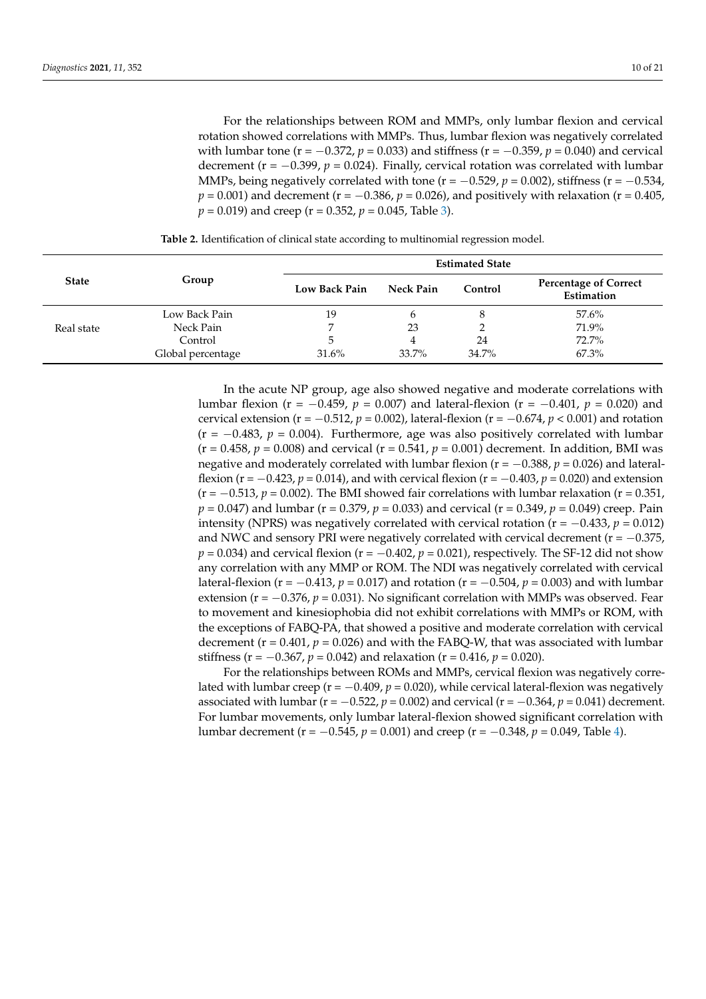For the relationships between ROM and MMPs, only lumbar flexion and cervical rotation showed correlations with MMPs. Thus, lumbar flexion was negatively correlated with lumbar tone ( $r = -0.372$ ,  $p = 0.033$ ) and stiffness ( $r = -0.359$ ,  $p = 0.040$ ) and cervical decrement ( $r = -0.399$ ,  $p = 0.024$ ). Finally, cervical rotation was correlated with lumbar MMPs, being negatively correlated with tone ( $r = -0.529$ ,  $p = 0.002$ ), stiffness ( $r = -0.534$ , *p* = 0.001) and decrement (*r* = −0.386, *p* = 0.026), and positively with relaxation (*r* = 0.405,  $p = 0.019$ ) and creep (r = 0.352,  $p = 0.045$ , Table [3\)](#page-10-0).

<span id="page-9-0"></span>**State Group Estimated State Low Back Pain Neck Pain Control Percentage of Correct Estimation** Real state Low Back Pain 19 6 8 57.6%<br>Neck Pain 7 23 2 71.9% Neck Pain 7 23 2 2 71.9%  $\text{Control}$  5 4 24 72.7% Global percentage  $31.6\%$   $33.7\%$   $34.7\%$   $67.3\%$ 

**Table 2.** Identification of clinical state according to multinomial regression model.

In the acute NP group, age also showed negative and moderate correlations with lumbar flexion (r = −0.459, *p* = 0.007) and lateral-flexion (r = −0.401, *p* = 0.020) and cervical extension (r = −0.512, *p* = 0.002), lateral-flexion (r = −0.674, *p* < 0.001) and rotation  $(r = -0.483, p = 0.004)$ . Furthermore, age was also positively correlated with lumbar  $(r = 0.458, p = 0.008)$  and cervical  $(r = 0.541, p = 0.001)$  decrement. In addition, BMI was negative and moderately correlated with lumbar flexion (r = −0.388, *p* = 0.026) and lateralflexion ( $r = -0.423$ ,  $p = 0.014$ ), and with cervical flexion ( $r = -0.403$ ,  $p = 0.020$ ) and extension  $(r = -0.513, p = 0.002)$ . The BMI showed fair correlations with lumbar relaxation  $(r = 0.351, p = 0.002)$ . *p* = 0.047) and lumbar (r = 0.379, *p* = 0.033) and cervical (r = 0.349, *p* = 0.049) creep. Pain intensity (NPRS) was negatively correlated with cervical rotation ( $r = -0.433$ ,  $p = 0.012$ ) and NWC and sensory PRI were negatively correlated with cervical decrement ( $r = -0.375$ ,  $p = 0.034$ ) and cervical flexion ( $r = -0.402$ ,  $p = 0.021$ ), respectively. The SF-12 did not show any correlation with any MMP or ROM. The NDI was negatively correlated with cervical lateral-flexion (r = −0.413, *p* = 0.017) and rotation (r = −0.504, *p* = 0.003) and with lumbar extension (r = −0.376, p = 0.031). No significant correlation with MMPs was observed. Fear to movement and kinesiophobia did not exhibit correlations with MMPs or ROM, with the exceptions of FABQ-PA, that showed a positive and moderate correlation with cervical decrement ( $r = 0.401$ ,  $p = 0.026$ ) and with the FABQ-W, that was associated with lumbar stiffness ( $r = -0.367$ ,  $p = 0.042$ ) and relaxation ( $r = 0.416$ ,  $p = 0.020$ ).

For the relationships between ROMs and MMPs, cervical flexion was negatively correlated with lumbar creep ( $r = -0.409$ ,  $p = 0.020$ ), while cervical lateral-flexion was negatively associated with lumbar ( $r = -0.522$ ,  $p = 0.002$ ) and cervical ( $r = -0.364$ ,  $p = 0.041$ ) decrement. For lumbar movements, only lumbar lateral-flexion showed significant correlation with lumbar decrement (r = −0.545, *p* = 0.001) and creep (r = −0.348, *p* = 0.049, Table [4\)](#page-11-0).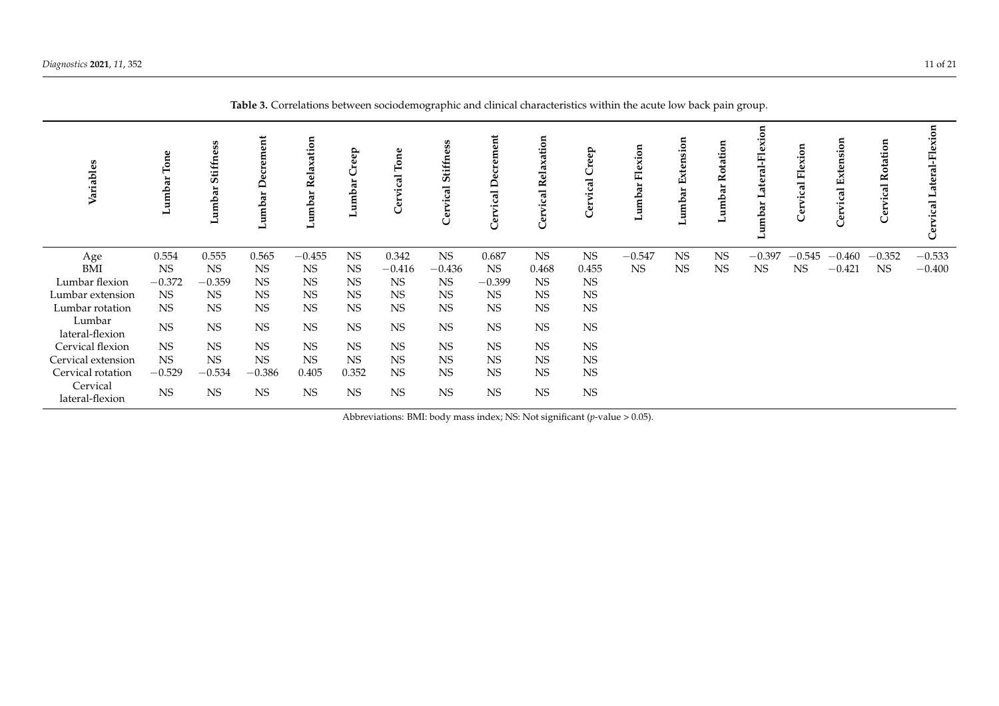<span id="page-10-0"></span>

| Variables                   | $\operatorname{\mathsf{Tone}}$<br>ă<br>Lumb | ess<br>Stiffm<br>umbar | crement<br>Φ<br>Lumbar | elaxation<br>≃<br>ar<br>Lumb <sub>i</sub> | ep<br>ਜ਼<br>dmu | $\Gamma$ on<br>तु | ess<br>tiffn<br>Ò<br><u>ក្ខព្</u><br>⊶ | tie<br>ನ<br>$\mathbf{C}$<br>Έ<br>ā | tion<br>xa<br>-a<br>≃<br>ढ<br>ដ<br>Ū | eep<br>ical<br>ä | exion<br>щ<br>đ<br>umb. | Extension<br>āľ<br>dmn. | Rotation<br>umba | ö<br>n.<br>囸<br>mbar | Flexi<br>ical | Extensio<br>Cervical | ۵<br>Φ    | exion<br>eral-Fl<br>vical |
|-----------------------------|---------------------------------------------|------------------------|------------------------|-------------------------------------------|-----------------|-------------------|----------------------------------------|------------------------------------|--------------------------------------|------------------|-------------------------|-------------------------|------------------|----------------------|---------------|----------------------|-----------|---------------------------|
| Age                         | 0.554                                       | 0.555                  | 0.565                  | $-0.455$                                  | <b>NS</b>       | 0.342             | <b>NS</b>                              | 0.687                              | <b>NS</b>                            | <b>NS</b>        | $-0.547$                | <b>NS</b>               | $_{\rm NS}$      | $-0.397$             | $-0.545$      | $-0.460$             | $-0.352$  | $-0.533$                  |
| BMI                         | <b>NS</b>                                   | <b>NS</b>              | <b>NS</b>              | <b>NS</b>                                 | <b>NS</b>       | $-0.416$          | $-0.436$                               | <b>NS</b>                          | 0.468                                | 0.455            | <b>NS</b>               | <b>NS</b>               | <b>NS</b>        | <b>NS</b>            | <b>NS</b>     | $-0.421$             | <b>NS</b> | $-0.400$                  |
| Lumbar flexion              | $-0.372$                                    | $-0.359$               | NS                     | <b>NS</b>                                 | <b>NS</b>       | <b>NS</b>         | <b>NS</b>                              | $-0.399$                           | <b>NS</b>                            | <b>NS</b>        |                         |                         |                  |                      |               |                      |           |                           |
| Lumbar extension            | <b>NS</b>                                   | <b>NS</b>              | NS                     | <b>NS</b>                                 | <b>NS</b>       | <b>NS</b>         | <b>NS</b>                              | <b>NS</b>                          | <b>NS</b>                            | <b>NS</b>        |                         |                         |                  |                      |               |                      |           |                           |
| Lumbar rotation             | NS                                          | <b>NS</b>              | NS                     | <b>NS</b>                                 | <b>NS</b>       | <b>NS</b>         | <b>NS</b>                              | <b>NS</b>                          | <b>NS</b>                            | <b>NS</b>        |                         |                         |                  |                      |               |                      |           |                           |
| Lumbar<br>lateral-flexion   | $_{\rm NS}$                                 | <b>NS</b>              | $_{\rm NS}$            | $_{\rm NS}$                               | $_{\rm NS}$     | <b>NS</b>         | <b>NS</b>                              | <b>NS</b>                          | <b>NS</b>                            | NS               |                         |                         |                  |                      |               |                      |           |                           |
| Cervical flexion            | NS                                          | <b>NS</b>              | <b>NS</b>              | <b>NS</b>                                 | <b>NS</b>       | <b>NS</b>         | <b>NS</b>                              | <b>NS</b>                          | <b>NS</b>                            | <b>NS</b>        |                         |                         |                  |                      |               |                      |           |                           |
| Cervical extension          | <b>NS</b>                                   | <b>NS</b>              | NS                     | <b>NS</b>                                 | <b>NS</b>       | <b>NS</b>         | <b>NS</b>                              | <b>NS</b>                          | <b>NS</b>                            | <b>NS</b>        |                         |                         |                  |                      |               |                      |           |                           |
| Cervical rotation           | $-0.529$                                    | $-0.534$               | $-0.386$               | 0.405                                     | 0.352           | <b>NS</b>         | <b>NS</b>                              | <b>NS</b>                          | <b>NS</b>                            | <b>NS</b>        |                         |                         |                  |                      |               |                      |           |                           |
| Cervical<br>lateral-flexion | <b>NS</b>                                   | <b>NS</b>              | NS                     | <b>NS</b>                                 | <b>NS</b>       | <b>NS</b>         | <b>NS</b>                              | <b>NS</b>                          | <b>NS</b>                            | <b>NS</b>        |                         |                         |                  |                      |               |                      |           |                           |

Abbreviations: BMI: body mass index; NS: Not significant (*p*-value > 0.05).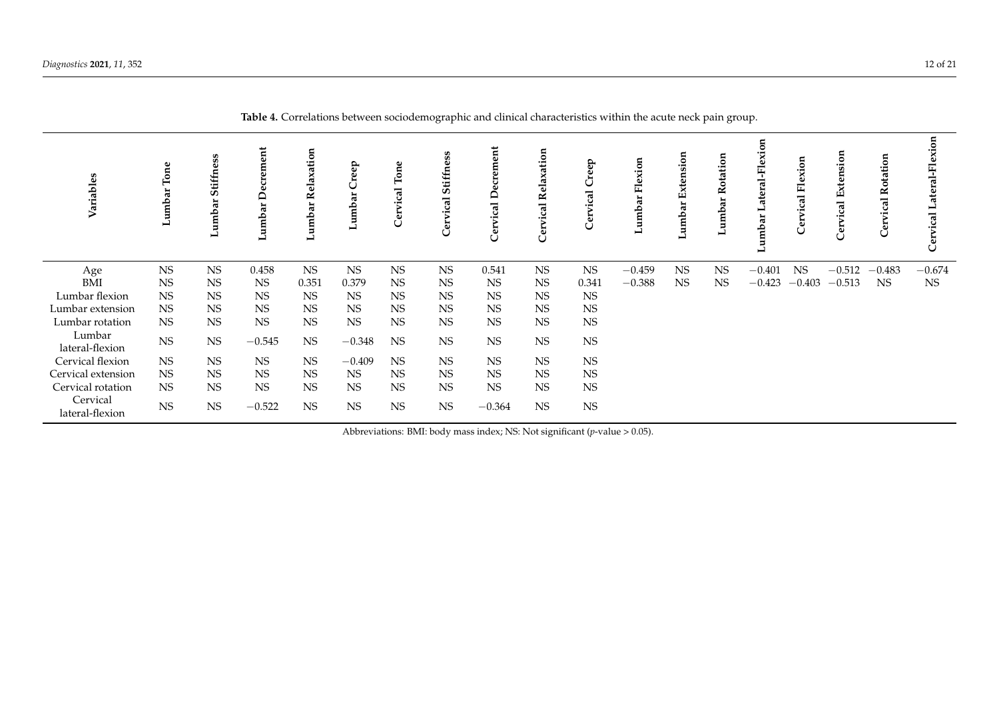<span id="page-11-0"></span>

|                             |               |                             |                  |                   |              |           | $\cup$ 1                |                             |                                   |               |                                   |                     | $\mathbf{L}$<br>$\cup$ | $\mathbf{I}$            |             |          |                   |                            |
|-----------------------------|---------------|-----------------------------|------------------|-------------------|--------------|-----------|-------------------------|-----------------------------|-----------------------------------|---------------|-----------------------------------|---------------------|------------------------|-------------------------|-------------|----------|-------------------|----------------------------|
| Variables                   | Ton<br>Lumbar | ess<br>Stiffn<br>umbar<br>⊐ | Lumbar Decrement | Lumbar Relaxation | reep<br>Lumb |           | ess<br>Stiffn<br>ಸ<br>C | ent<br>ಸ<br><u>ت</u> .<br>Ũ | ation<br>da<br>≃<br>ह<br>erv<br>ပ | reep<br>vical | Flexion<br>ದ<br>Lumb <sub>i</sub> | Extension<br>Lumbar | Lumbar Rotation        | ateral-Flexion<br>umbar | ical Flexio | ĖĹ       | Rotation<br>vical | ateral-Flexion<br>Cervical |
| Age                         | <b>NS</b>     | NS                          | 0.458            | <b>NS</b>         | NS           | <b>NS</b> | <b>NS</b>               | 0.541                       | <b>NS</b>                         | <b>NS</b>     | $-0.459$                          | <b>NS</b>           | NS                     | $-0.401$                | <b>NS</b>   | $-0.512$ | $-0.483$          | $-0.674$                   |
| BMI                         | <b>NS</b>     | <b>NS</b>                   | <b>NS</b>        | 0.351             | 0.379        | <b>NS</b> | <b>NS</b>               | <b>NS</b>                   | <b>NS</b>                         | 0.341         | $-0.388$                          | <b>NS</b>           | <b>NS</b>              | $-0.423$                | $-0.403$    | $-0.513$ | <b>NS</b>         | <b>NS</b>                  |
| Lumbar flexion              | <b>NS</b>     | <b>NS</b>                   | NS               | <b>NS</b>         | <b>NS</b>    | <b>NS</b> | <b>NS</b>               | <b>NS</b>                   | <b>NS</b>                         | <b>NS</b>     |                                   |                     |                        |                         |             |          |                   |                            |
| Lumbar extension            | <b>NS</b>     | NS                          | NS               | <b>NS</b>         | NS           | <b>NS</b> | <b>NS</b>               | <b>NS</b>                   | <b>NS</b>                         | <b>NS</b>     |                                   |                     |                        |                         |             |          |                   |                            |
| Lumbar rotation             | <b>NS</b>     | NS                          | <b>NS</b>        | <b>NS</b>         | <b>NS</b>    | <b>NS</b> | <b>NS</b>               | <b>NS</b>                   | <b>NS</b>                         | <b>NS</b>     |                                   |                     |                        |                         |             |          |                   |                            |
| Lumbar<br>lateral-flexion   | <b>NS</b>     | $_{\rm NS}$                 | $-0.545$         | <b>NS</b>         | $-0.348$     | <b>NS</b> | <b>NS</b>               | <b>NS</b>                   | <b>NS</b>                         | NS            |                                   |                     |                        |                         |             |          |                   |                            |
| Cervical flexion            | <b>NS</b>     | $_{\rm NS}$                 | $_{\rm NS}$      | <b>NS</b>         | $-0.409$     | <b>NS</b> | NS                      | <b>NS</b>                   | <b>NS</b>                         | <b>NS</b>     |                                   |                     |                        |                         |             |          |                   |                            |
| Cervical extension          | <b>NS</b>     | <b>NS</b>                   | <b>NS</b>        | <b>NS</b>         | <b>NS</b>    | <b>NS</b> | <b>NS</b>               | <b>NS</b>                   | <b>NS</b>                         | <b>NS</b>     |                                   |                     |                        |                         |             |          |                   |                            |
| Cervical rotation           | <b>NS</b>     | $_{\rm NS}$                 | $_{\rm NS}$      | <b>NS</b>         | <b>NS</b>    | <b>NS</b> | <b>NS</b>               | <b>NS</b>                   | <b>NS</b>                         | NS            |                                   |                     |                        |                         |             |          |                   |                            |
| Cervical<br>lateral-flexion | <b>NS</b>     | $_{\rm NS}$                 | $-0.522$         | <b>NS</b>         | <b>NS</b>    | <b>NS</b> | <b>NS</b>               | $-0.364$                    | <b>NS</b>                         | NS            |                                   |                     |                        |                         |             |          |                   |                            |

**Table 4.** Correlations between sociodemographic and clinical characteristics within the acute neck pain group.

Abbreviations: BMI: body mass index; NS: Not significant (*p*-value > 0.05).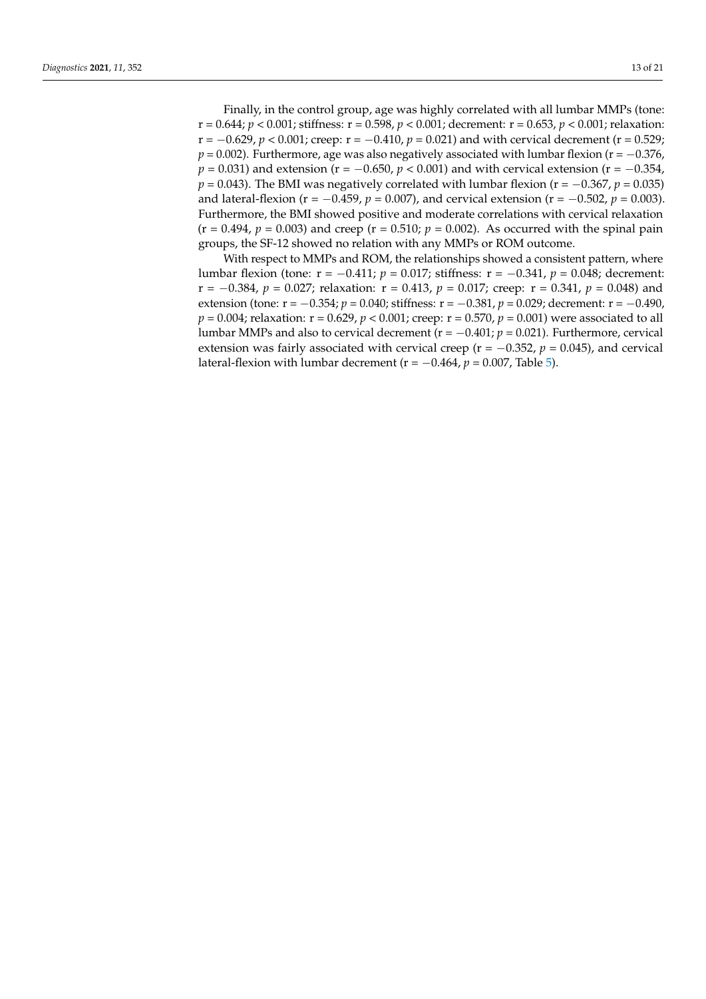Finally, in the control group, age was highly correlated with all lumbar MMPs (tone: r = 0.644; *p* < 0.001; stiffness: r = 0.598, *p* < 0.001; decrement: r = 0.653, *p* < 0.001; relaxation: r = −0.629, *p* < 0.001; creep: r = −0.410, *p* = 0.021) and with cervical decrement (r = 0.529;  $p = 0.002$ ). Furthermore, age was also negatively associated with lumbar flexion ( $r = -0.376$ , *p* = 0.031) and extension (r = −0.650, *p* < 0.001) and with cervical extension (r = −0.354,  $p = 0.043$ ). The BMI was negatively correlated with lumbar flexion ( $r = -0.367$ ,  $p = 0.035$ ) and lateral-flexion (r = −0.459, *p* = 0.007), and cervical extension (r = −0.502, *p* = 0.003). Furthermore, the BMI showed positive and moderate correlations with cervical relaxation  $(r = 0.494, p = 0.003)$  and creep  $(r = 0.510; p = 0.002)$ . As occurred with the spinal pain groups, the SF-12 showed no relation with any MMPs or ROM outcome.

With respect to MMPs and ROM, the relationships showed a consistent pattern, where lumbar flexion (tone: r = −0.411; *p* = 0.017; stiffness: r = −0.341, *p* = 0.048; decrement: r = −0.384, *p* = 0.027; relaxation: r = 0.413, *p* = 0.017; creep: r = 0.341, *p* = 0.048) and extension (tone: r = −0.354; *p* = 0.040; stiffness: r = −0.381, *p* = 0.029; decrement: r = −0.490, *p* = 0.004; relaxation: r = 0.629, *p* < 0.001; creep: r = 0.570, *p* = 0.001) were associated to all lumbar MMPs and also to cervical decrement ( $r = -0.401$ ;  $p = 0.021$ ). Furthermore, cervical extension was fairly associated with cervical creep ( $r = -0.352$ ,  $p = 0.045$ ), and cervical lateral-flexion with lumbar decrement ( $r = -0.464$ ,  $p = 0.007$ , Table [5\)](#page-13-0).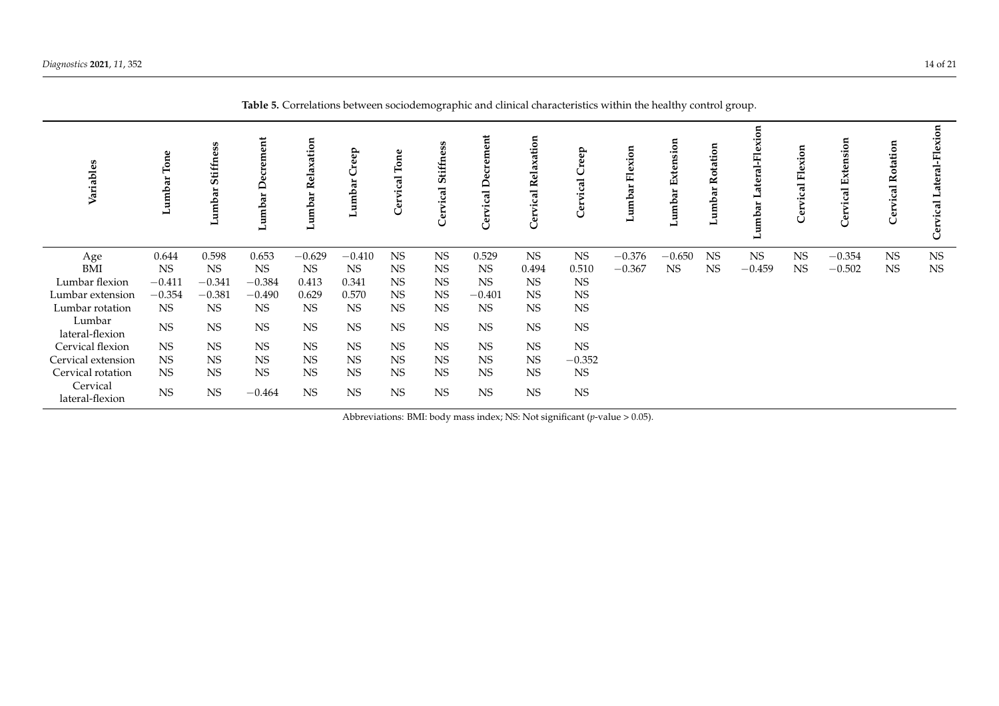<span id="page-13-0"></span>

| Variables                   | Tone<br>Lumbar | Stiffness<br>umbar<br>ت | ement<br>đ<br>Lumb | Relaxation<br>umbar | eep<br>amb | Ton<br><u>ថ្ម</u> | Stiffness<br>Cervical | ent<br>≏<br>Ū | vical Relaxation<br>ලි | Creep<br><u>ical</u><br>Cervi | Flexion<br>ă<br>dump | Extension<br>Lumbar | tation<br>ъ<br>∝<br>ء | -Flexion<br>ateral<br>Lumbar | vical Flexion<br>Cer | nsion<br>Exter<br>ಸ<br>Cer | Rotation<br>vical<br>Ĉē | ral-Flexion<br>요<br>$\overline{\mathbf{c}}$ |
|-----------------------------|----------------|-------------------------|--------------------|---------------------|------------|-------------------|-----------------------|---------------|------------------------|-------------------------------|----------------------|---------------------|-----------------------|------------------------------|----------------------|----------------------------|-------------------------|---------------------------------------------|
| Age                         | 0.644          | 0.598                   | 0.653              | $-0.629$            | $-0.410$   | <b>NS</b>         | <b>NS</b>             | 0.529         | <b>NS</b>              | <b>NS</b>                     | $-0.376$             | $-0.650$            | <b>NS</b>             | <b>NS</b>                    | <b>NS</b>            | $-0.354$                   | <b>NS</b>               | <b>NS</b>                                   |
| BMI                         | <b>NS</b>      | <b>NS</b>               | <b>NS</b>          | <b>NS</b>           | <b>NS</b>  | <b>NS</b>         | <b>NS</b>             | <b>NS</b>     | 0.494                  | 0.510                         | $-0.367$             | <b>NS</b>           | <b>NS</b>             | $-0.459$                     | <b>NS</b>            | $-0.502$                   | <b>NS</b>               | <b>NS</b>                                   |
| Lumbar flexion              | $-0.411$       | $-0.341$                | $-0.384$           | 0.413               | 0.341      | <b>NS</b>         | <b>NS</b>             | <b>NS</b>     | <b>NS</b>              | <b>NS</b>                     |                      |                     |                       |                              |                      |                            |                         |                                             |
| Lumbar extension            | $-0.354$       | $-0.381$                | $-0.490$           | 0.629               | 0.570      | <b>NS</b>         | <b>NS</b>             | $-0.401$      | <b>NS</b>              | <b>NS</b>                     |                      |                     |                       |                              |                      |                            |                         |                                             |
| Lumbar rotation             | <b>NS</b>      | <b>NS</b>               | <b>NS</b>          | <b>NS</b>           | <b>NS</b>  | <b>NS</b>         | <b>NS</b>             | <b>NS</b>     | <b>NS</b>              | <b>NS</b>                     |                      |                     |                       |                              |                      |                            |                         |                                             |
| Lumbar<br>lateral-flexion   | $_{\rm NS}$    | <b>NS</b>               | $_{\rm NS}$        | $_{\rm NS}$         | NS         | $_{\rm NS}$       | $_{\rm NS}$           | NS            | $_{\rm NS}$            | $_{\rm NS}$                   |                      |                     |                       |                              |                      |                            |                         |                                             |
| Cervical flexion            | <b>NS</b>      | <b>NS</b>               | <b>NS</b>          | <b>NS</b>           | <b>NS</b>  | <b>NS</b>         | <b>NS</b>             | <b>NS</b>     | <b>NS</b>              | $_{\rm NS}$                   |                      |                     |                       |                              |                      |                            |                         |                                             |
| Cervical extension          | <b>NS</b>      | <b>NS</b>               | <b>NS</b>          | <b>NS</b>           | <b>NS</b>  | <b>NS</b>         | <b>NS</b>             | <b>NS</b>     | <b>NS</b>              | $-0.352$                      |                      |                     |                       |                              |                      |                            |                         |                                             |
| Cervical rotation           | <b>NS</b>      | <b>NS</b>               | <b>NS</b>          | <b>NS</b>           | <b>NS</b>  | <b>NS</b>         | <b>NS</b>             | <b>NS</b>     | <b>NS</b>              | <b>NS</b>                     |                      |                     |                       |                              |                      |                            |                         |                                             |
| Cervical<br>lateral-flexion | $_{\rm NS}$    | NS                      | $-0.464$           | <b>NS</b>           | <b>NS</b>  | <b>NS</b>         | <b>NS</b>             | NS            | $_{\rm NS}$            | $_{\rm NS}$                   |                      |                     |                       |                              |                      |                            |                         |                                             |

**Table 5.** Correlations between sociodemographic and clinical characteristics within the healthy control group.

Abbreviations: BMI: body mass index; NS: Not significant (*p*-value > 0.05).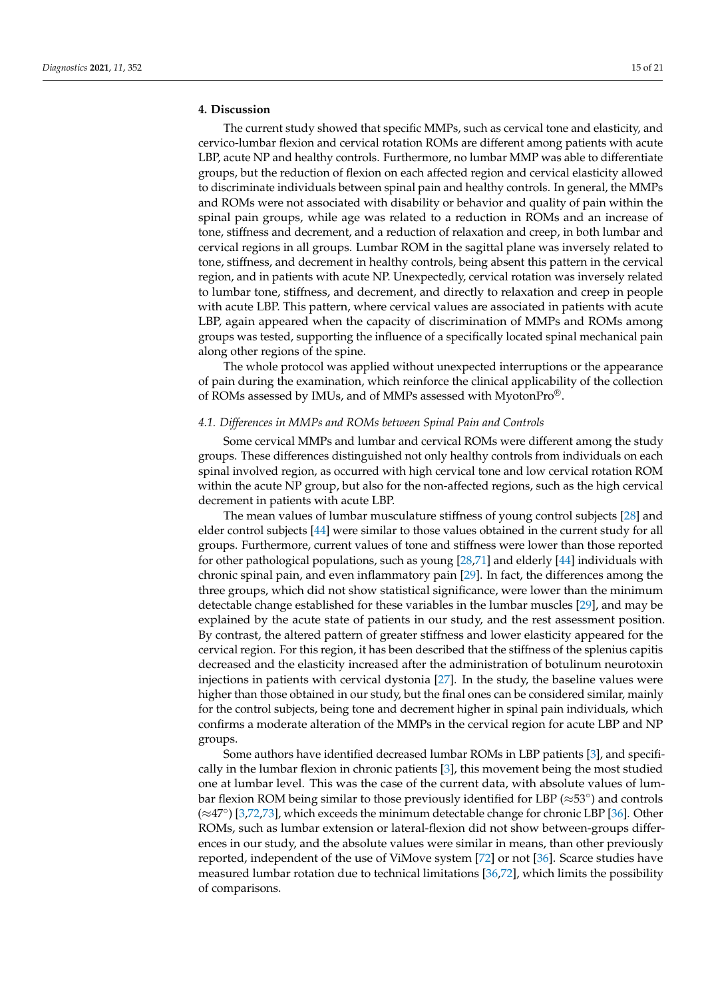## **4. Discussion**

The current study showed that specific MMPs, such as cervical tone and elasticity, and cervico-lumbar flexion and cervical rotation ROMs are different among patients with acute LBP, acute NP and healthy controls. Furthermore, no lumbar MMP was able to differentiate groups, but the reduction of flexion on each affected region and cervical elasticity allowed to discriminate individuals between spinal pain and healthy controls. In general, the MMPs and ROMs were not associated with disability or behavior and quality of pain within the spinal pain groups, while age was related to a reduction in ROMs and an increase of tone, stiffness and decrement, and a reduction of relaxation and creep, in both lumbar and cervical regions in all groups. Lumbar ROM in the sagittal plane was inversely related to tone, stiffness, and decrement in healthy controls, being absent this pattern in the cervical region, and in patients with acute NP. Unexpectedly, cervical rotation was inversely related to lumbar tone, stiffness, and decrement, and directly to relaxation and creep in people with acute LBP. This pattern, where cervical values are associated in patients with acute LBP, again appeared when the capacity of discrimination of MMPs and ROMs among groups was tested, supporting the influence of a specifically located spinal mechanical pain along other regions of the spine.

The whole protocol was applied without unexpected interruptions or the appearance of pain during the examination, which reinforce the clinical applicability of the collection of ROMs assessed by IMUs, and of MMPs assessed with MyotonPro®.

## *4.1. Differences in MMPs and ROMs between Spinal Pain and Controls*

Some cervical MMPs and lumbar and cervical ROMs were different among the study groups. These differences distinguished not only healthy controls from individuals on each spinal involved region, as occurred with high cervical tone and low cervical rotation ROM within the acute NP group, but also for the non-affected regions, such as the high cervical decrement in patients with acute LBP.

The mean values of lumbar musculature stiffness of young control subjects [\[28\]](#page-18-14) and elder control subjects [\[44\]](#page-19-7) were similar to those values obtained in the current study for all groups. Furthermore, current values of tone and stiffness were lower than those reported for other pathological populations, such as young [\[28,](#page-18-14)[71\]](#page-20-9) and elderly [\[44\]](#page-19-7) individuals with chronic spinal pain, and even inflammatory pain [\[29\]](#page-18-15). In fact, the differences among the three groups, which did not show statistical significance, were lower than the minimum detectable change established for these variables in the lumbar muscles [\[29\]](#page-18-15), and may be explained by the acute state of patients in our study, and the rest assessment position. By contrast, the altered pattern of greater stiffness and lower elasticity appeared for the cervical region. For this region, it has been described that the stiffness of the splenius capitis decreased and the elasticity increased after the administration of botulinum neurotoxin injections in patients with cervical dystonia [\[27\]](#page-18-13). In the study, the baseline values were higher than those obtained in our study, but the final ones can be considered similar, mainly for the control subjects, being tone and decrement higher in spinal pain individuals, which confirms a moderate alteration of the MMPs in the cervical region for acute LBP and NP groups.

Some authors have identified decreased lumbar ROMs in LBP patients [\[3\]](#page-17-2), and specifically in the lumbar flexion in chronic patients [\[3\]](#page-17-2), this movement being the most studied one at lumbar level. This was the case of the current data, with absolute values of lumbar flexion ROM being similar to those previously identified for LBP (≈53◦ ) and controls (≈47◦ ) [\[3,](#page-17-2)[72](#page-20-10)[,73\]](#page-20-11), which exceeds the minimum detectable change for chronic LBP [\[36\]](#page-18-22). Other ROMs, such as lumbar extension or lateral-flexion did not show between-groups differences in our study, and the absolute values were similar in means, than other previously reported, independent of the use of ViMove system [\[72\]](#page-20-10) or not [\[36\]](#page-18-22). Scarce studies have measured lumbar rotation due to technical limitations [\[36](#page-18-22)[,72\]](#page-20-10), which limits the possibility of comparisons.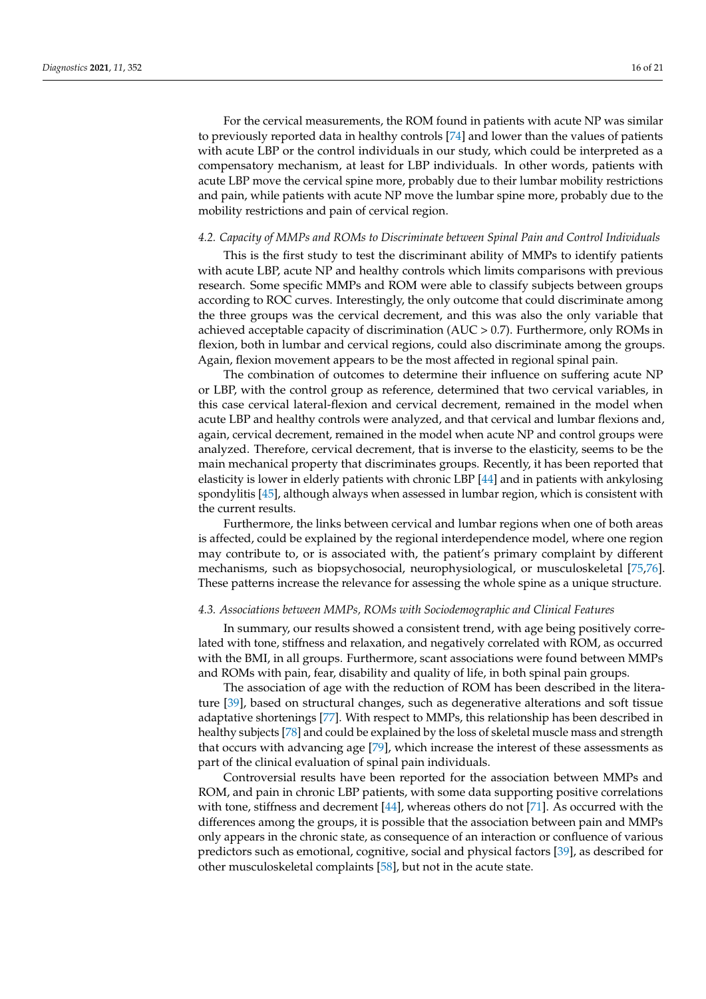For the cervical measurements, the ROM found in patients with acute NP was similar to previously reported data in healthy controls [\[74\]](#page-20-12) and lower than the values of patients with acute LBP or the control individuals in our study, which could be interpreted as a compensatory mechanism, at least for LBP individuals. In other words, patients with acute LBP move the cervical spine more, probably due to their lumbar mobility restrictions and pain, while patients with acute NP move the lumbar spine more, probably due to the mobility restrictions and pain of cervical region.

#### *4.2. Capacity of MMPs and ROMs to Discriminate between Spinal Pain and Control Individuals*

This is the first study to test the discriminant ability of MMPs to identify patients with acute LBP, acute NP and healthy controls which limits comparisons with previous research. Some specific MMPs and ROM were able to classify subjects between groups according to ROC curves. Interestingly, the only outcome that could discriminate among the three groups was the cervical decrement, and this was also the only variable that achieved acceptable capacity of discrimination (AUC > 0.7). Furthermore, only ROMs in flexion, both in lumbar and cervical regions, could also discriminate among the groups. Again, flexion movement appears to be the most affected in regional spinal pain.

The combination of outcomes to determine their influence on suffering acute NP or LBP, with the control group as reference, determined that two cervical variables, in this case cervical lateral-flexion and cervical decrement, remained in the model when acute LBP and healthy controls were analyzed, and that cervical and lumbar flexions and, again, cervical decrement, remained in the model when acute NP and control groups were analyzed. Therefore, cervical decrement, that is inverse to the elasticity, seems to be the main mechanical property that discriminates groups. Recently, it has been reported that elasticity is lower in elderly patients with chronic LBP [\[44\]](#page-19-7) and in patients with ankylosing spondylitis [\[45\]](#page-19-8), although always when assessed in lumbar region, which is consistent with the current results.

Furthermore, the links between cervical and lumbar regions when one of both areas is affected, could be explained by the regional interdependence model, where one region may contribute to, or is associated with, the patient's primary complaint by different mechanisms, such as biopsychosocial, neurophysiological, or musculoskeletal [\[75,](#page-20-13)[76\]](#page-20-14). These patterns increase the relevance for assessing the whole spine as a unique structure.

## *4.3. Associations between MMPs, ROMs with Sociodemographic and Clinical Features*

In summary, our results showed a consistent trend, with age being positively correlated with tone, stiffness and relaxation, and negatively correlated with ROM, as occurred with the BMI, in all groups. Furthermore, scant associations were found between MMPs and ROMs with pain, fear, disability and quality of life, in both spinal pain groups.

The association of age with the reduction of ROM has been described in the literature [\[39\]](#page-19-2), based on structural changes, such as degenerative alterations and soft tissue adaptative shortenings [\[77\]](#page-20-15). With respect to MMPs, this relationship has been described in healthy subjects [\[78\]](#page-20-16) and could be explained by the loss of skeletal muscle mass and strength that occurs with advancing age [\[79\]](#page-20-17), which increase the interest of these assessments as part of the clinical evaluation of spinal pain individuals.

Controversial results have been reported for the association between MMPs and ROM, and pain in chronic LBP patients, with some data supporting positive correlations with tone, stiffness and decrement  $[44]$ , whereas others do not [\[71\]](#page-20-9). As occurred with the differences among the groups, it is possible that the association between pain and MMPs only appears in the chronic state, as consequence of an interaction or confluence of various predictors such as emotional, cognitive, social and physical factors [\[39\]](#page-19-2), as described for other musculoskeletal complaints [\[58\]](#page-19-21), but not in the acute state.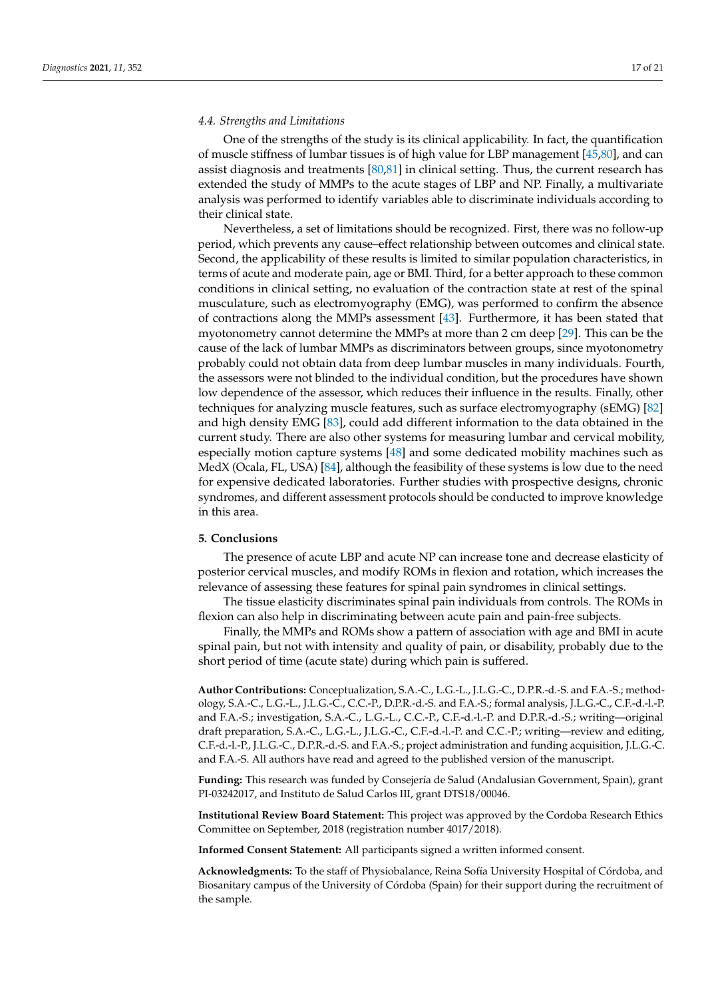#### *4.4. Strengths and Limitations*

One of the strengths of the study is its clinical applicability. In fact, the quantification of muscle stiffness of lumbar tissues is of high value for LBP management [\[45](#page-19-8)[,80\]](#page-20-18), and can assist diagnosis and treatments [\[80](#page-20-18)[,81\]](#page-20-19) in clinical setting. Thus, the current research has extended the study of MMPs to the acute stages of LBP and NP. Finally, a multivariate analysis was performed to identify variables able to discriminate individuals according to their clinical state.

Nevertheless, a set of limitations should be recognized. First, there was no follow-up period, which prevents any cause–effect relationship between outcomes and clinical state. Second, the applicability of these results is limited to similar population characteristics, in terms of acute and moderate pain, age or BMI. Third, for a better approach to these common conditions in clinical setting, no evaluation of the contraction state at rest of the spinal musculature, such as electromyography (EMG), was performed to confirm the absence of contractions along the MMPs assessment [\[43\]](#page-19-6). Furthermore, it has been stated that myotonometry cannot determine the MMPs at more than 2 cm deep [\[29\]](#page-18-15). This can be the cause of the lack of lumbar MMPs as discriminators between groups, since myotonometry probably could not obtain data from deep lumbar muscles in many individuals. Fourth, the assessors were not blinded to the individual condition, but the procedures have shown low dependence of the assessor, which reduces their influence in the results. Finally, other techniques for analyzing muscle features, such as surface electromyography (sEMG) [\[82\]](#page-20-20) and high density EMG [\[83\]](#page-20-21), could add different information to the data obtained in the current study. There are also other systems for measuring lumbar and cervical mobility, especially motion capture systems [\[48\]](#page-19-11) and some dedicated mobility machines such as MedX (Ocala, FL, USA) [\[84\]](#page-20-22), although the feasibility of these systems is low due to the need for expensive dedicated laboratories. Further studies with prospective designs, chronic syndromes, and different assessment protocols should be conducted to improve knowledge in this area.

#### **5. Conclusions**

The presence of acute LBP and acute NP can increase tone and decrease elasticity of posterior cervical muscles, and modify ROMs in flexion and rotation, which increases the relevance of assessing these features for spinal pain syndromes in clinical settings.

The tissue elasticity discriminates spinal pain individuals from controls. The ROMs in flexion can also help in discriminating between acute pain and pain-free subjects.

Finally, the MMPs and ROMs show a pattern of association with age and BMI in acute spinal pain, but not with intensity and quality of pain, or disability, probably due to the short period of time (acute state) during which pain is suffered.

**Author Contributions:** Conceptualization, S.A.-C., L.G.-L., J.L.G.-C., D.P.R.-d.-S. and F.A.-S.; methodology, S.A.-C., L.G.-L., J.L.G.-C., C.C.-P., D.P.R.-d.-S. and F.A.-S.; formal analysis, J.L.G.-C., C.F.-d.-l.-P. and F.A.-S.; investigation, S.A.-C., L.G.-L., C.C.-P., C.F.-d.-l.-P. and D.P.R.-d.-S.; writing—original draft preparation, S.A.-C., L.G.-L., J.L.G.-C., C.F.-d.-l.-P. and C.C.-P.; writing—review and editing, C.F.-d.-l.-P., J.L.G.-C., D.P.R.-d.-S. and F.A.-S.; project administration and funding acquisition, J.L.G.-C. and F.A.-S. All authors have read and agreed to the published version of the manuscript.

**Funding:** This research was funded by Consejería de Salud (Andalusian Government, Spain), grant PI-03242017, and Instituto de Salud Carlos III, grant DTS18/00046.

**Institutional Review Board Statement:** This project was approved by the Cordoba Research Ethics Committee on September, 2018 (registration number 4017/2018).

**Informed Consent Statement:** All participants signed a written informed consent.

**Acknowledgments:** To the staff of Physiobalance, Reina Sofía University Hospital of Córdoba, and Biosanitary campus of the University of Córdoba (Spain) for their support during the recruitment of the sample.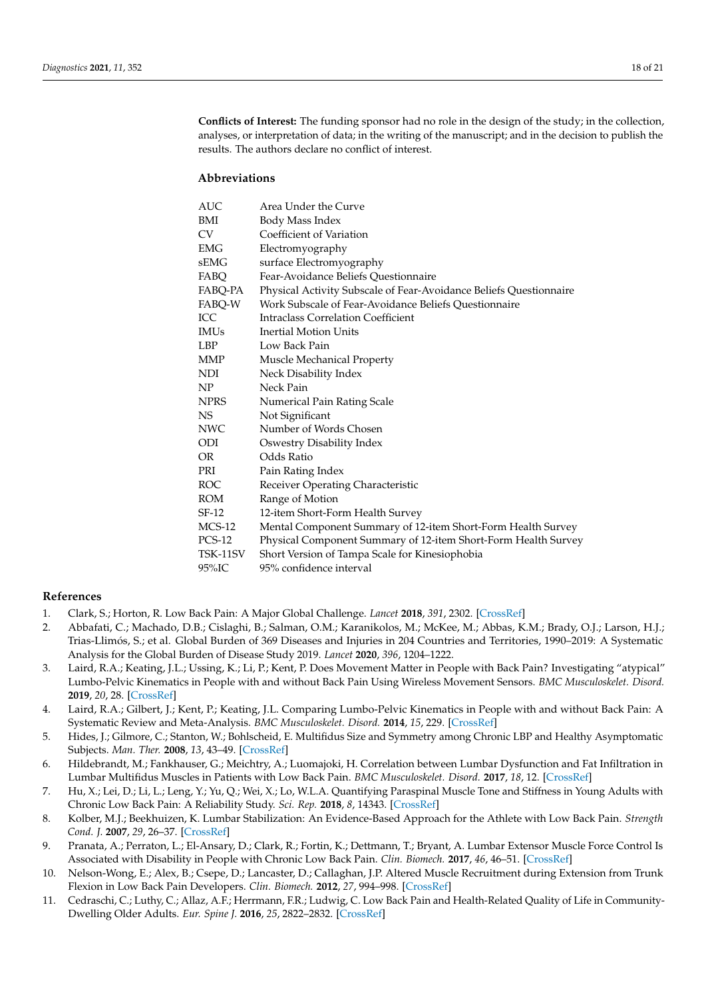**Conflicts of Interest:** The funding sponsor had no role in the design of the study; in the collection, analyses, or interpretation of data; in the writing of the manuscript; and in the decision to publish the results. The authors declare no conflict of interest.

## **Abbreviations**

| <b>AUC</b>    | Area Under the Curve                                               |
|---------------|--------------------------------------------------------------------|
| BMI           | Body Mass Index                                                    |
| CV            | Coefficient of Variation                                           |
| EMG           | Electromyography                                                   |
| sEMG          | surface Electromyography                                           |
| FABO          | Fear-Avoidance Beliefs Questionnaire                               |
| FABQ-PA       | Physical Activity Subscale of Fear-Avoidance Beliefs Questionnaire |
| FABO-W        | Work Subscale of Fear-Avoidance Beliefs Questionnaire              |
| <b>ICC</b>    | <b>Intraclass Correlation Coefficient</b>                          |
| <b>IMUs</b>   | <b>Inertial Motion Units</b>                                       |
| <b>LBP</b>    | Low Back Pain                                                      |
| <b>MMP</b>    | Muscle Mechanical Property                                         |
| NDI           | Neck Disability Index                                              |
| NP            | Neck Pain                                                          |
| <b>NPRS</b>   | Numerical Pain Rating Scale                                        |
| NS.           | Not Significant                                                    |
| <b>NWC</b>    | Number of Words Chosen                                             |
| ODI           | Oswestry Disability Index                                          |
| OR.           | Odds Ratio                                                         |
| PRI           | Pain Rating Index                                                  |
| <b>ROC</b>    | Receiver Operating Characteristic                                  |
| <b>ROM</b>    | Range of Motion                                                    |
| $SF-12$       | 12-item Short-Form Health Survey                                   |
| $MCS-12$      | Mental Component Summary of 12-item Short-Form Health Survey       |
| <b>PCS-12</b> | Physical Component Summary of 12-item Short-Form Health Survey     |
| TSK-11SV      | Short Version of Tampa Scale for Kinesiophobia                     |
| 95%IC         | 95% confidence interval                                            |

## **References**

- <span id="page-17-0"></span>1. Clark, S.; Horton, R. Low Back Pain: A Major Global Challenge. *Lancet* **2018**, *391*, 2302. [\[CrossRef\]](http://doi.org/10.1016/S0140-6736(18)30725-6)
- <span id="page-17-1"></span>2. Abbafati, C.; Machado, D.B.; Cislaghi, B.; Salman, O.M.; Karanikolos, M.; McKee, M.; Abbas, K.M.; Brady, O.J.; Larson, H.J.; Trias-Llimós, S.; et al. Global Burden of 369 Diseases and Injuries in 204 Countries and Territories, 1990–2019: A Systematic Analysis for the Global Burden of Disease Study 2019. *Lancet* **2020**, *396*, 1204–1222.
- <span id="page-17-2"></span>3. Laird, R.A.; Keating, J.L.; Ussing, K.; Li, P.; Kent, P. Does Movement Matter in People with Back Pain? Investigating "atypical" Lumbo-Pelvic Kinematics in People with and without Back Pain Using Wireless Movement Sensors. *BMC Musculoskelet. Disord.* **2019**, *20*, 28. [\[CrossRef\]](http://doi.org/10.1186/s12891-018-2387-x)
- <span id="page-17-3"></span>4. Laird, R.A.; Gilbert, J.; Kent, P.; Keating, J.L. Comparing Lumbo-Pelvic Kinematics in People with and without Back Pain: A Systematic Review and Meta-Analysis. *BMC Musculoskelet. Disord.* **2014**, *15*, 229. [\[CrossRef\]](http://doi.org/10.1186/1471-2474-15-229)
- <span id="page-17-4"></span>5. Hides, J.; Gilmore, C.; Stanton, W.; Bohlscheid, E. Multifidus Size and Symmetry among Chronic LBP and Healthy Asymptomatic Subjects. *Man. Ther.* **2008**, *13*, 43–49. [\[CrossRef\]](http://doi.org/10.1016/j.math.2006.07.017)
- 6. Hildebrandt, M.; Fankhauser, G.; Meichtry, A.; Luomajoki, H. Correlation between Lumbar Dysfunction and Fat Infiltration in Lumbar Multifidus Muscles in Patients with Low Back Pain. *BMC Musculoskelet. Disord.* **2017**, *18*, 12. [\[CrossRef\]](http://doi.org/10.1186/s12891-016-1376-1)
- <span id="page-17-5"></span>7. Hu, X.; Lei, D.; Li, L.; Leng, Y.; Yu, Q.; Wei, X.; Lo, W.L.A. Quantifying Paraspinal Muscle Tone and Stiffness in Young Adults with Chronic Low Back Pain: A Reliability Study. *Sci. Rep.* **2018**, *8*, 14343. [\[CrossRef\]](http://doi.org/10.1038/s41598-018-32418-x)
- <span id="page-17-6"></span>8. Kolber, M.J.; Beekhuizen, K. Lumbar Stabilization: An Evidence-Based Approach for the Athlete with Low Back Pain. *Strength Cond. J.* **2007**, *29*, 26–37. [\[CrossRef\]](http://doi.org/10.1519/00126548-200704000-00002)
- <span id="page-17-7"></span>9. Pranata, A.; Perraton, L.; El-Ansary, D.; Clark, R.; Fortin, K.; Dettmann, T.; Bryant, A. Lumbar Extensor Muscle Force Control Is Associated with Disability in People with Chronic Low Back Pain. *Clin. Biomech.* **2017**, *46*, 46–51. [\[CrossRef\]](http://doi.org/10.1016/j.clinbiomech.2017.05.004)
- <span id="page-17-8"></span>10. Nelson-Wong, E.; Alex, B.; Csepe, D.; Lancaster, D.; Callaghan, J.P. Altered Muscle Recruitment during Extension from Trunk Flexion in Low Back Pain Developers. *Clin. Biomech.* **2012**, *27*, 994–998. [\[CrossRef\]](http://doi.org/10.1016/j.clinbiomech.2012.07.007)
- <span id="page-17-9"></span>11. Cedraschi, C.; Luthy, C.; Allaz, A.F.; Herrmann, F.R.; Ludwig, C. Low Back Pain and Health-Related Quality of Life in Community-Dwelling Older Adults. *Eur. Spine J.* **2016**, *25*, 2822–2832. [\[CrossRef\]](http://doi.org/10.1007/s00586-016-4483-7)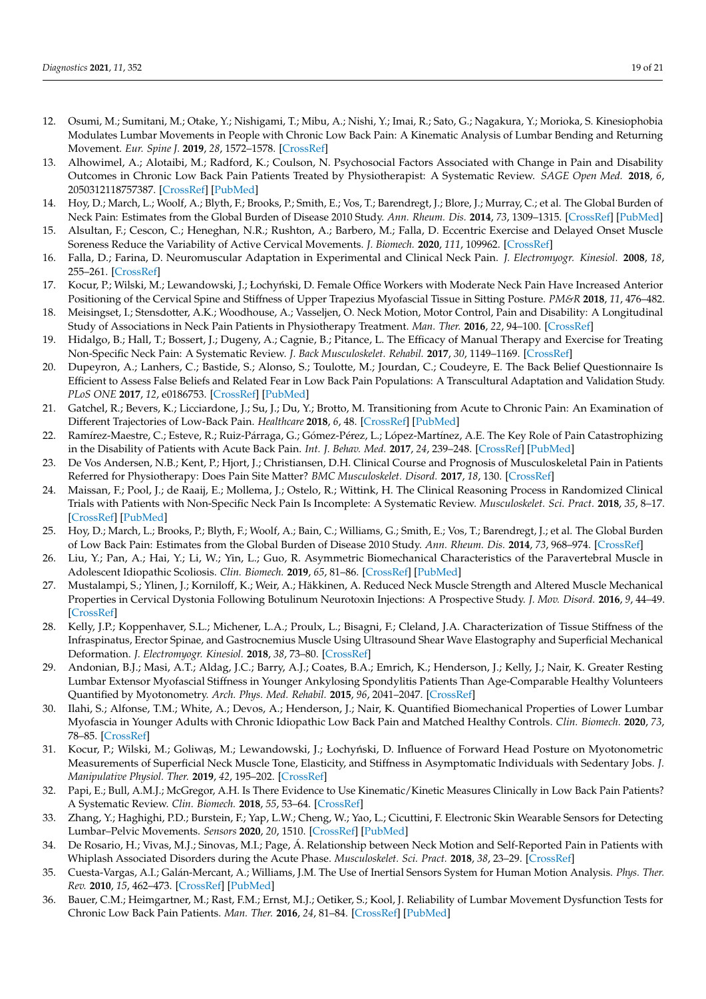- 12. Osumi, M.; Sumitani, M.; Otake, Y.; Nishigami, T.; Mibu, A.; Nishi, Y.; Imai, R.; Sato, G.; Nagakura, Y.; Morioka, S. Kinesiophobia Modulates Lumbar Movements in People with Chronic Low Back Pain: A Kinematic Analysis of Lumbar Bending and Returning Movement. *Eur. Spine J.* **2019**, *28*, 1572–1578. [\[CrossRef\]](http://doi.org/10.1007/s00586-019-06010-4)
- <span id="page-18-0"></span>13. Alhowimel, A.; Alotaibi, M.; Radford, K.; Coulson, N. Psychosocial Factors Associated with Change in Pain and Disability Outcomes in Chronic Low Back Pain Patients Treated by Physiotherapist: A Systematic Review. *SAGE Open Med.* **2018**, *6*, 2050312118757387. [\[CrossRef\]](http://doi.org/10.1177/2050312118757387) [\[PubMed\]](http://www.ncbi.nlm.nih.gov/pubmed/29449945)
- <span id="page-18-1"></span>14. Hoy, D.; March, L.; Woolf, A.; Blyth, F.; Brooks, P.; Smith, E.; Vos, T.; Barendregt, J.; Blore, J.; Murray, C.; et al. The Global Burden of Neck Pain: Estimates from the Global Burden of Disease 2010 Study. *Ann. Rheum. Dis.* **2014**, *73*, 1309–1315. [\[CrossRef\]](http://doi.org/10.1136/annrheumdis-2013-204431) [\[PubMed\]](http://www.ncbi.nlm.nih.gov/pubmed/24482302)
- <span id="page-18-2"></span>15. Alsultan, F.; Cescon, C.; Heneghan, N.R.; Rushton, A.; Barbero, M.; Falla, D. Eccentric Exercise and Delayed Onset Muscle Soreness Reduce the Variability of Active Cervical Movements. *J. Biomech.* **2020**, *111*, 109962. [\[CrossRef\]](http://doi.org/10.1016/j.jbiomech.2020.109962)
- <span id="page-18-3"></span>16. Falla, D.; Farina, D. Neuromuscular Adaptation in Experimental and Clinical Neck Pain. *J. Electromyogr. Kinesiol.* **2008**, *18*, 255–261. [\[CrossRef\]](http://doi.org/10.1016/j.jelekin.2006.11.001)
- <span id="page-18-4"></span>17. Kocur, P.; Wilski, M.; Lewandowski, J.; Łochyński, D. Female Office Workers with Moderate Neck Pain Have Increased Anterior Positioning of the Cervical Spine and Stiffness of Upper Trapezius Myofascial Tissue in Sitting Posture. *PM&R* **2018**, *11*, 476–482.
- <span id="page-18-5"></span>18. Meisingset, I.; Stensdotter, A.K.; Woodhouse, A.; Vasseljen, O. Neck Motion, Motor Control, Pain and Disability: A Longitudinal Study of Associations in Neck Pain Patients in Physiotherapy Treatment. *Man. Ther.* **2016**, *22*, 94–100. [\[CrossRef\]](http://doi.org/10.1016/j.math.2015.10.013)
- <span id="page-18-6"></span>19. Hidalgo, B.; Hall, T.; Bossert, J.; Dugeny, A.; Cagnie, B.; Pitance, L. The Efficacy of Manual Therapy and Exercise for Treating Non-Specific Neck Pain: A Systematic Review. *J. Back Musculoskelet. Rehabil.* **2017**, *30*, 1149–1169. [\[CrossRef\]](http://doi.org/10.3233/BMR-169615)
- <span id="page-18-7"></span>20. Dupeyron, A.; Lanhers, C.; Bastide, S.; Alonso, S.; Toulotte, M.; Jourdan, C.; Coudeyre, E. The Back Belief Questionnaire Is Efficient to Assess False Beliefs and Related Fear in Low Back Pain Populations: A Transcultural Adaptation and Validation Study. *PLoS ONE* **2017**, *12*, e0186753. [\[CrossRef\]](http://doi.org/10.1371/journal.pone.0186753) [\[PubMed\]](http://www.ncbi.nlm.nih.gov/pubmed/29211745)
- <span id="page-18-8"></span>21. Gatchel, R.; Bevers, K.; Licciardone, J.; Su, J.; Du, Y.; Brotto, M. Transitioning from Acute to Chronic Pain: An Examination of Different Trajectories of Low-Back Pain. *Healthcare* **2018**, *6*, 48. [\[CrossRef\]](http://doi.org/10.3390/healthcare6020048) [\[PubMed\]](http://www.ncbi.nlm.nih.gov/pubmed/29772754)
- 22. Ramírez-Maestre, C.; Esteve, R.; Ruiz-Párraga, G.; Gómez-Pérez, L.; López-Martínez, A.E. The Key Role of Pain Catastrophizing in the Disability of Patients with Acute Back Pain. *Int. J. Behav. Med.* **2017**, *24*, 239–248. [\[CrossRef\]](http://doi.org/10.1007/s12529-016-9600-9) [\[PubMed\]](http://www.ncbi.nlm.nih.gov/pubmed/27757840)
- <span id="page-18-9"></span>23. De Vos Andersen, N.B.; Kent, P.; Hjort, J.; Christiansen, D.H. Clinical Course and Prognosis of Musculoskeletal Pain in Patients Referred for Physiotherapy: Does Pain Site Matter? *BMC Musculoskelet. Disord.* **2017**, *18*, 130. [\[CrossRef\]](http://doi.org/10.1186/s12891-017-1487-3)
- <span id="page-18-10"></span>24. Maissan, F.; Pool, J.; de Raaij, E.; Mollema, J.; Ostelo, R.; Wittink, H. The Clinical Reasoning Process in Randomized Clinical Trials with Patients with Non-Specific Neck Pain Is Incomplete: A Systematic Review. *Musculoskelet. Sci. Pract.* **2018**, *35*, 8–17. [\[CrossRef\]](http://doi.org/10.1016/j.msksp.2018.01.011) [\[PubMed\]](http://www.ncbi.nlm.nih.gov/pubmed/29413949)
- <span id="page-18-11"></span>25. Hoy, D.; March, L.; Brooks, P.; Blyth, F.; Woolf, A.; Bain, C.; Williams, G.; Smith, E.; Vos, T.; Barendregt, J.; et al. The Global Burden of Low Back Pain: Estimates from the Global Burden of Disease 2010 Study. *Ann. Rheum. Dis.* **2014**, *73*, 968–974. [\[CrossRef\]](http://doi.org/10.1136/annrheumdis-2013-204428)
- <span id="page-18-12"></span>26. Liu, Y.; Pan, A.; Hai, Y.; Li, W.; Yin, L.; Guo, R. Asymmetric Biomechanical Characteristics of the Paravertebral Muscle in Adolescent Idiopathic Scoliosis. *Clin. Biomech.* **2019**, *65*, 81–86. [\[CrossRef\]](http://doi.org/10.1016/j.clinbiomech.2019.03.013) [\[PubMed\]](http://www.ncbi.nlm.nih.gov/pubmed/31004964)
- <span id="page-18-13"></span>27. Mustalampi, S.; Ylinen, J.; Korniloff, K.; Weir, A.; Häkkinen, A. Reduced Neck Muscle Strength and Altered Muscle Mechanical Properties in Cervical Dystonia Following Botulinum Neurotoxin Injections: A Prospective Study. *J. Mov. Disord.* **2016**, *9*, 44–49. [\[CrossRef\]](http://doi.org/10.14802/jmd.15035)
- <span id="page-18-14"></span>28. Kelly, J.P.; Koppenhaver, S.L.; Michener, L.A.; Proulx, L.; Bisagni, F.; Cleland, J.A. Characterization of Tissue Stiffness of the Infraspinatus, Erector Spinae, and Gastrocnemius Muscle Using Ultrasound Shear Wave Elastography and Superficial Mechanical Deformation. *J. Electromyogr. Kinesiol.* **2018**, *38*, 73–80. [\[CrossRef\]](http://doi.org/10.1016/j.jelekin.2017.11.001)
- <span id="page-18-15"></span>29. Andonian, B.J.; Masi, A.T.; Aldag, J.C.; Barry, A.J.; Coates, B.A.; Emrich, K.; Henderson, J.; Kelly, J.; Nair, K. Greater Resting Lumbar Extensor Myofascial Stiffness in Younger Ankylosing Spondylitis Patients Than Age-Comparable Healthy Volunteers Quantified by Myotonometry. *Arch. Phys. Med. Rehabil.* **2015**, *96*, 2041–2047. [\[CrossRef\]](http://doi.org/10.1016/j.apmr.2015.07.014)
- <span id="page-18-16"></span>30. Ilahi, S.; Alfonse, T.M.; White, A.; Devos, A.; Henderson, J.; Nair, K. Quantified Biomechanical Properties of Lower Lumbar Myofascia in Younger Adults with Chronic Idiopathic Low Back Pain and Matched Healthy Controls. *Clin. Biomech.* **2020**, *73*, 78–85. [\[CrossRef\]](http://doi.org/10.1016/j.clinbiomech.2019.12.026)
- <span id="page-18-17"></span>31. Kocur, P.; Wilski, M.; Goliwas, M.; Lewandowski, J.; Łochyński, D. Influence of Forward Head Posture on Myotonometric Measurements of Superficial Neck Muscle Tone, Elasticity, and Stiffness in Asymptomatic Individuals with Sedentary Jobs. *J. Manipulative Physiol. Ther.* **2019**, *42*, 195–202. [\[CrossRef\]](http://doi.org/10.1016/j.jmpt.2019.02.005)
- <span id="page-18-18"></span>32. Papi, E.; Bull, A.M.J.; McGregor, A.H. Is There Evidence to Use Kinematic/Kinetic Measures Clinically in Low Back Pain Patients? A Systematic Review. *Clin. Biomech.* **2018**, *55*, 53–64. [\[CrossRef\]](http://doi.org/10.1016/j.clinbiomech.2018.04.006)
- <span id="page-18-19"></span>33. Zhang, Y.; Haghighi, P.D.; Burstein, F.; Yap, L.W.; Cheng, W.; Yao, L.; Cicuttini, F. Electronic Skin Wearable Sensors for Detecting Lumbar–Pelvic Movements. *Sensors* **2020**, *20*, 1510. [\[CrossRef\]](http://doi.org/10.3390/s20051510) [\[PubMed\]](http://www.ncbi.nlm.nih.gov/pubmed/32182928)
- <span id="page-18-20"></span>34. De Rosario, H.; Vivas, M.J.; Sinovas, M.I.; Page, Á. Relationship between Neck Motion and Self-Reported Pain in Patients with Whiplash Associated Disorders during the Acute Phase. *Musculoskelet. Sci. Pract.* **2018**, *38*, 23–29. [\[CrossRef\]](http://doi.org/10.1016/j.msksp.2018.09.004)
- <span id="page-18-21"></span>35. Cuesta-Vargas, A.I.; Galán-Mercant, A.; Williams, J.M. The Use of Inertial Sensors System for Human Motion Analysis. *Phys. Ther. Rev.* **2010**, *15*, 462–473. [\[CrossRef\]](http://doi.org/10.1179/1743288X11Y.0000000006) [\[PubMed\]](http://www.ncbi.nlm.nih.gov/pubmed/23565045)
- <span id="page-18-22"></span>36. Bauer, C.M.; Heimgartner, M.; Rast, F.M.; Ernst, M.J.; Oetiker, S.; Kool, J. Reliability of Lumbar Movement Dysfunction Tests for Chronic Low Back Pain Patients. *Man. Ther.* **2016**, *24*, 81–84. [\[CrossRef\]](http://doi.org/10.1016/j.math.2016.02.013) [\[PubMed\]](http://www.ncbi.nlm.nih.gov/pubmed/26980560)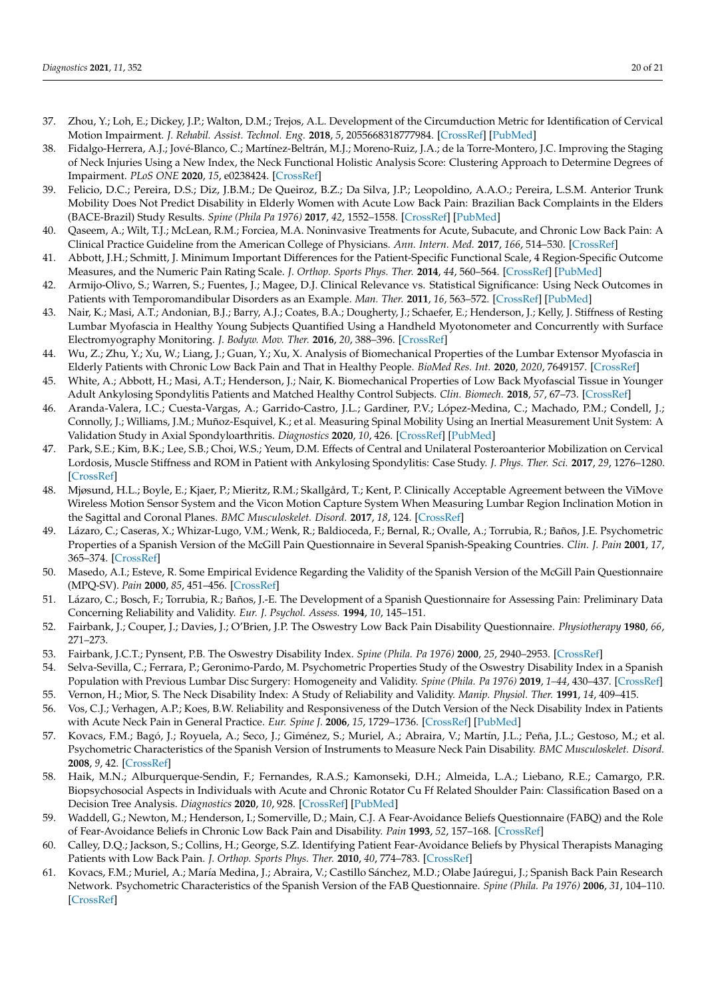- <span id="page-19-0"></span>37. Zhou, Y.; Loh, E.; Dickey, J.P.; Walton, D.M.; Trejos, A.L. Development of the Circumduction Metric for Identification of Cervical Motion Impairment. *J. Rehabil. Assist. Technol. Eng.* **2018**, *5*, 2055668318777984. [\[CrossRef\]](http://doi.org/10.1177/2055668318777984) [\[PubMed\]](http://www.ncbi.nlm.nih.gov/pubmed/31191942)
- <span id="page-19-1"></span>38. Fidalgo-Herrera, A.J.; Jové-Blanco, C.; Martínez-Beltrán, M.J.; Moreno-Ruiz, J.A.; de la Torre-Montero, J.C. Improving the Staging of Neck Injuries Using a New Index, the Neck Functional Holistic Analysis Score: Clustering Approach to Determine Degrees of Impairment. *PLoS ONE* **2020**, *15*, e0238424. [\[CrossRef\]](http://doi.org/10.1371/journal.pone.0238424)
- <span id="page-19-2"></span>39. Felicio, D.C.; Pereira, D.S.; Diz, J.B.M.; De Queiroz, B.Z.; Da Silva, J.P.; Leopoldino, A.A.O.; Pereira, L.S.M. Anterior Trunk Mobility Does Not Predict Disability in Elderly Women with Acute Low Back Pain: Brazilian Back Complaints in the Elders (BACE-Brazil) Study Results. *Spine (Phila Pa 1976)* **2017**, *42*, 1552–1558. [\[CrossRef\]](http://doi.org/10.1097/BRS.0000000000002151) [\[PubMed\]](http://www.ncbi.nlm.nih.gov/pubmed/28296815)
- <span id="page-19-3"></span>40. Qaseem, A.; Wilt, T.J.; McLean, R.M.; Forciea, M.A. Noninvasive Treatments for Acute, Subacute, and Chronic Low Back Pain: A Clinical Practice Guideline from the American College of Physicians. *Ann. Intern. Med.* **2017**, *166*, 514–530. [\[CrossRef\]](http://doi.org/10.7326/M16-2367)
- <span id="page-19-4"></span>41. Abbott, J.H.; Schmitt, J. Minimum Important Differences for the Patient-Specific Functional Scale, 4 Region-Specific Outcome Measures, and the Numeric Pain Rating Scale. *J. Orthop. Sports Phys. Ther.* **2014**, *44*, 560–564. [\[CrossRef\]](http://doi.org/10.2519/jospt.2014.5248) [\[PubMed\]](http://www.ncbi.nlm.nih.gov/pubmed/24828475)
- <span id="page-19-5"></span>42. Armijo-Olivo, S.; Warren, S.; Fuentes, J.; Magee, D.J. Clinical Relevance vs. Statistical Significance: Using Neck Outcomes in Patients with Temporomandibular Disorders as an Example. *Man. Ther.* **2011**, *16*, 563–572. [\[CrossRef\]](http://doi.org/10.1016/j.math.2011.05.006) [\[PubMed\]](http://www.ncbi.nlm.nih.gov/pubmed/21658987)
- <span id="page-19-6"></span>43. Nair, K.; Masi, A.T.; Andonian, B.J.; Barry, A.J.; Coates, B.A.; Dougherty, J.; Schaefer, E.; Henderson, J.; Kelly, J. Stiffness of Resting Lumbar Myofascia in Healthy Young Subjects Quantified Using a Handheld Myotonometer and Concurrently with Surface Electromyography Monitoring. *J. Bodyw. Mov. Ther.* **2016**, *20*, 388–396. [\[CrossRef\]](http://doi.org/10.1016/j.jbmt.2015.12.005)
- <span id="page-19-7"></span>44. Wu, Z.; Zhu, Y.; Xu, W.; Liang, J.; Guan, Y.; Xu, X. Analysis of Biomechanical Properties of the Lumbar Extensor Myofascia in Elderly Patients with Chronic Low Back Pain and That in Healthy People. *BioMed Res. Int.* **2020**, *2020*, 7649157. [\[CrossRef\]](http://doi.org/10.1155/2020/7649157)
- <span id="page-19-8"></span>45. White, A.; Abbott, H.; Masi, A.T.; Henderson, J.; Nair, K. Biomechanical Properties of Low Back Myofascial Tissue in Younger Adult Ankylosing Spondylitis Patients and Matched Healthy Control Subjects. *Clin. Biomech.* **2018**, *57*, 67–73. [\[CrossRef\]](http://doi.org/10.1016/j.clinbiomech.2018.06.006)
- <span id="page-19-9"></span>46. Aranda-Valera, I.C.; Cuesta-Vargas, A.; Garrido-Castro, J.L.; Gardiner, P.V.; López-Medina, C.; Machado, P.M.; Condell, J.; Connolly, J.; Williams, J.M.; Muñoz-Esquivel, K.; et al. Measuring Spinal Mobility Using an Inertial Measurement Unit System: A Validation Study in Axial Spondyloarthritis. *Diagnostics* **2020**, *10*, 426. [\[CrossRef\]](http://doi.org/10.3390/diagnostics10060426) [\[PubMed\]](http://www.ncbi.nlm.nih.gov/pubmed/32599741)
- <span id="page-19-10"></span>47. Park, S.E.; Kim, B.K.; Lee, S.B.; Choi, W.S.; Yeum, D.M. Effects of Central and Unilateral Posteroanterior Mobilization on Cervical Lordosis, Muscle Stiffness and ROM in Patient with Ankylosing Spondylitis: Case Study. *J. Phys. Ther. Sci.* **2017**, *29*, 1276–1280. [\[CrossRef\]](http://doi.org/10.1589/jpts.29.1276)
- <span id="page-19-11"></span>48. Mjøsund, H.L.; Boyle, E.; Kjaer, P.; Mieritz, R.M.; Skallgård, T.; Kent, P. Clinically Acceptable Agreement between the ViMove Wireless Motion Sensor System and the Vicon Motion Capture System When Measuring Lumbar Region Inclination Motion in the Sagittal and Coronal Planes. *BMC Musculoskelet. Disord.* **2017**, *18*, 124. [\[CrossRef\]](http://doi.org/10.1186/s12891-017-1489-1)
- <span id="page-19-12"></span>49. Lázaro, C.; Caseras, X.; Whizar-Lugo, V.M.; Wenk, R.; Baldioceda, F.; Bernal, R.; Ovalle, A.; Torrubia, R.; Baños, J.E. Psychometric Properties of a Spanish Version of the McGill Pain Questionnaire in Several Spanish-Speaking Countries. *Clin. J. Pain* **2001**, *17*, 365–374. [\[CrossRef\]](http://doi.org/10.1097/00002508-200112000-00012)
- <span id="page-19-13"></span>50. Masedo, A.I.; Esteve, R. Some Empirical Evidence Regarding the Validity of the Spanish Version of the McGill Pain Questionnaire (MPQ-SV). *Pain* **2000**, *85*, 451–456. [\[CrossRef\]](http://doi.org/10.1016/S0304-3959(99)00300-0)
- <span id="page-19-14"></span>51. Lázaro, C.; Bosch, F.; Torrubia, R.; Baños, J.-E. The Development of a Spanish Questionnaire for Assessing Pain: Preliminary Data Concerning Reliability and Validity. *Eur. J. Psychol. Assess.* **1994**, *10*, 145–151.
- <span id="page-19-15"></span>52. Fairbank, J.; Couper, J.; Davies, J.; O'Brien, J.P. The Oswestry Low Back Pain Disability Questionnaire. *Physiotherapy* **1980**, *66*, 271–273.
- <span id="page-19-16"></span>53. Fairbank, J.C.T.; Pynsent, P.B. The Oswestry Disability Index. *Spine (Phila. Pa 1976)* **2000**, *25*, 2940–2953. [\[CrossRef\]](http://doi.org/10.1097/00007632-200011150-00017)
- <span id="page-19-17"></span>54. Selva-Sevilla, C.; Ferrara, P.; Geronimo-Pardo, M. Psychometric Properties Study of the Oswestry Disability Index in a Spanish Population with Previous Lumbar Disc Surgery: Homogeneity and Validity. *Spine (Phila. Pa 1976)* **2019**, *1–44*, 430–437. [\[CrossRef\]](http://doi.org/10.1097/BRS.0000000000002867)
- <span id="page-19-18"></span>55. Vernon, H.; Mior, S. The Neck Disability Index: A Study of Reliability and Validity. *Manip. Physiol. Ther.* **1991**, *14*, 409–415.
- <span id="page-19-19"></span>56. Vos, C.J.; Verhagen, A.P.; Koes, B.W. Reliability and Responsiveness of the Dutch Version of the Neck Disability Index in Patients with Acute Neck Pain in General Practice. *Eur. Spine J.* **2006**, *15*, 1729–1736. [\[CrossRef\]](http://doi.org/10.1007/s00586-006-0119-7) [\[PubMed\]](http://www.ncbi.nlm.nih.gov/pubmed/16670840)
- <span id="page-19-20"></span>57. Kovacs, F.M.; Bagó, J.; Royuela, A.; Seco, J.; Giménez, S.; Muriel, A.; Abraira, V.; Martín, J.L.; Peña, J.L.; Gestoso, M.; et al. Psychometric Characteristics of the Spanish Version of Instruments to Measure Neck Pain Disability. *BMC Musculoskelet. Disord.* **2008**, *9*, 42. [\[CrossRef\]](http://doi.org/10.1186/1471-2474-9-42)
- <span id="page-19-21"></span>58. Haik, M.N.; Alburquerque-Sendin, F.; Fernandes, R.A.S.; Kamonseki, D.H.; Almeida, L.A.; Liebano, R.E.; Camargo, P.R. Biopsychosocial Aspects in Individuals with Acute and Chronic Rotator Cu Ff Related Shoulder Pain: Classification Based on a Decision Tree Analysis. *Diagnostics* **2020**, *10*, 928. [\[CrossRef\]](http://doi.org/10.3390/diagnostics10110928) [\[PubMed\]](http://www.ncbi.nlm.nih.gov/pubmed/33182699)
- <span id="page-19-22"></span>59. Waddell, G.; Newton, M.; Henderson, I.; Somerville, D.; Main, C.J. A Fear-Avoidance Beliefs Questionnaire (FABQ) and the Role of Fear-Avoidance Beliefs in Chronic Low Back Pain and Disability. *Pain* **1993**, *52*, 157–168. [\[CrossRef\]](http://doi.org/10.1016/0304-3959(93)90127-B)
- <span id="page-19-23"></span>60. Calley, D.Q.; Jackson, S.; Collins, H.; George, S.Z. Identifying Patient Fear-Avoidance Beliefs by Physical Therapists Managing Patients with Low Back Pain. *J. Orthop. Sports Phys. Ther.* **2010**, *40*, 774–783. [\[CrossRef\]](http://doi.org/10.2519/jospt.2010.3381)
- <span id="page-19-24"></span>61. Kovacs, F.M.; Muriel, A.; María Medina, J.; Abraira, V.; Castillo Sánchez, M.D.; Olabe Jaúregui, J.; Spanish Back Pain Research Network. Psychometric Characteristics of the Spanish Version of the FAB Questionnaire. *Spine (Phila. Pa 1976)* **2006**, *31*, 104–110. [\[CrossRef\]](http://doi.org/10.1097/01.brs.0000193912.36742.4f)